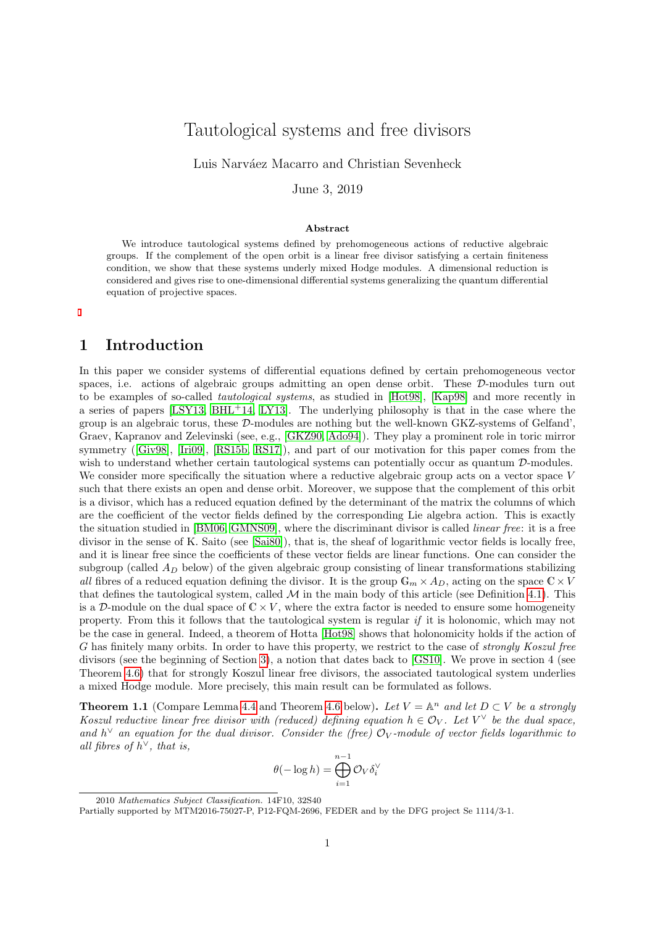# Tautological systems and free divisors

Luis Narváez Macarro and Christian Sevenheck

June 3, 2019

#### Abstract

We introduce tautological systems defined by prehomogeneous actions of reductive algebraic groups. If the complement of the open orbit is a linear free divisor satisfying a certain finiteness condition, we show that these systems underly mixed Hodge modules. A dimensional reduction is considered and gives rise to one-dimensional differential systems generalizing the quantum differential equation of projective spaces.

# 1 Introduction

In this paper we consider systems of differential equations defined by certain prehomogeneous vector spaces, i.e. actions of algebraic groups admitting an open dense orbit. These  $D$ -modules turn out to be examples of so-called tautological systems, as studied in [\[Hot98\]](#page-22-0), [\[Kap98\]](#page-22-1) and more recently in a series of papers  $[LSY13, BHL+14, LY13]$  $[LSY13, BHL+14, LY13]$  $[LSY13, BHL+14, LY13]$  $[LSY13, BHL+14, LY13]$ . The underlying philosophy is that in the case where the group is an algebraic torus, these D-modules are nothing but the well-known GKZ-systems of Gelfand', Graev, Kapranov and Zelevinski (see, e.g., [\[GKZ90,](#page-22-4) [Ado94\]](#page-21-1)). They play a prominent role in toric mirror symmetry([\[Giv98\]](#page-22-5), [\[Iri09\]](#page-22-6), [\[RS15b,](#page-23-0) [RS17\]](#page-23-1)), and part of our motivation for this paper comes from the wish to understand whether certain tautological systems can potentially occur as quantum  $\mathcal{D}$ -modules. We consider more specifically the situation where a reductive algebraic group acts on a vector space V such that there exists an open and dense orbit. Moreover, we suppose that the complement of this orbit is a divisor, which has a reduced equation defined by the determinant of the matrix the columns of which are the coefficient of the vector fields defined by the corresponding Lie algebra action. This is exactly the situation studied in [\[BM06,](#page-21-2) [GMNS09\]](#page-22-7), where the discriminant divisor is called linear free: it is a free divisor in the sense of K. Saito (see [\[Sai80\]](#page-23-2)), that is, the sheaf of logarithmic vector fields is locally free, and it is linear free since the coefficients of these vector fields are linear functions. One can consider the subgroup (called  $A_D$  below) of the given algebraic group consisting of linear transformations stabilizing all fibres of a reduced equation defining the divisor. It is the group  $\mathbb{G}_m \times A_D$ , acting on the space  $\mathbb{C} \times V$ that defines the tautological system, called  $M$  in the main body of this article (see Definition [4.1\)](#page-8-0). This is a D-module on the dual space of  $\mathbb{C} \times V$ , where the extra factor is needed to ensure some homogeneity property. From this it follows that the tautological system is regular if it is holonomic, which may not be the case in general. Indeed, a theorem of Hotta [\[Hot98\]](#page-22-0) shows that holonomicity holds if the action of G has finitely many orbits. In order to have this property, we restrict to the case of strongly Koszul free divisors (see the beginning of Section [3\)](#page-4-0), a notion that dates back to [\[GS10\]](#page-22-8). We prove in section 4 (see Theorem [4.6\)](#page-11-0) that for strongly Koszul linear free divisors, the associated tautological system underlies a mixed Hodge module. More precisely, this main result can be formulated as follows.

**Theorem 1.1** (Compare Lemma [4.4](#page-10-0) and Theorem [4.6](#page-11-0) below). Let  $V = \mathbb{A}^n$  and let  $D \subset V$  be a strongly Koszul reductive linear free divisor with (reduced) defining equation  $h \in \mathcal{O}_V$ . Let  $V^{\vee}$  be the dual space, and  $h^{\vee}$  an equation for the dual divisor. Consider the (free)  $\mathcal{O}_V$ -module of vector fields logarithmic to all fibres of  $h^{\vee}$ , that is,

$$
\theta(-\log h) = \bigoplus_{i=1}^{n-1} \mathcal{O}_V \delta_i^\vee
$$

<sup>2010</sup> Mathematics Subject Classification. 14F10, 32S40

Partially supported by MTM2016-75027-P, P12-FQM-2696, FEDER and by the DFG project Se 1114/3-1.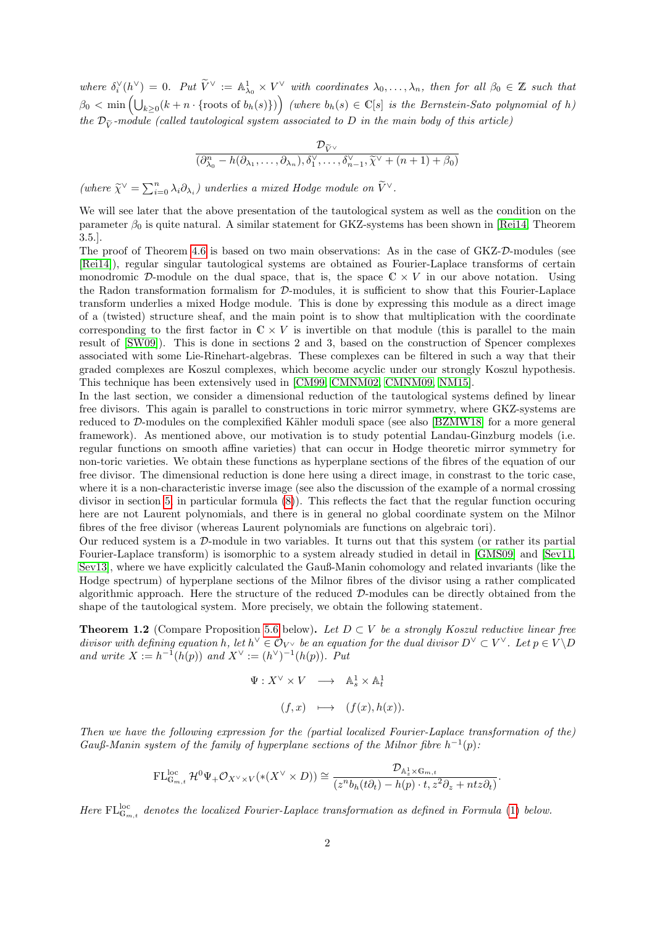where  $\delta_i^{\vee}(h^{\vee}) = 0$ . Put  $\widetilde{V}^{\vee} := \mathbb{A}^1_{\lambda_0} \times V^{\vee}$  with coordinates  $\lambda_0, \ldots, \lambda_n$ , then for all  $\beta_0 \in \mathbb{Z}$  such that  $\beta_0 < \min\left(\bigcup_{k\geq 0} (k+n\cdot\{\text{roots of } b_h(s)\})\right)$  (where  $b_h(s) \in \mathbb{C}[s]$  is the Bernstein-Sato polynomial of h) the  $\mathcal{D}_{\tilde{\nu}}$ -module (called tautological system associated to D in the main body of this article)

$$
\frac{\mathcal{D}_{\widetilde{V}^{\vee}}}{(\partial_{\lambda_0}^n - h(\partial_{\lambda_1}, \ldots, \partial_{\lambda_n}), \delta_1^{\vee}, \ldots, \delta_{n-1}^{\vee}, \widetilde{\chi}^{\vee} + (n+1) + \beta_0)}
$$

(where  $\widetilde{\chi}^{\vee} = \sum_{i=0}^{n} \lambda_i \partial_{\lambda_i}$ ) underlies a mixed Hodge module on  $\widetilde{V}^{\vee}$ .

We will see later that the above presentation of the tautological system as well as the condition on the parameter  $\beta_0$  is quite natural. A similar statement for GKZ-systems has been shown in [\[Rei14,](#page-22-9) Theorem 3.5.].

The proof of Theorem [4.6](#page-11-0) is based on two main observations: As in the case of GKZ-D-modules (see [\[Rei14\]](#page-22-9)), regular singular tautological systems are obtained as Fourier-Laplace transforms of certain monodromic D-module on the dual space, that is, the space  $\mathbb{C} \times V$  in our above notation. Using the Radon transformation formalism for D-modules, it is sufficient to show that this Fourier-Laplace transform underlies a mixed Hodge module. This is done by expressing this module as a direct image of a (twisted) structure sheaf, and the main point is to show that multiplication with the coordinate corresponding to the first factor in  $\mathbb{C} \times V$  is invertible on that module (this is parallel to the main result of [\[SW09\]](#page-23-3)). This is done in sections 2 and 3, based on the construction of Spencer complexes associated with some Lie-Rinehart-algebras. These complexes can be filtered in such a way that their graded complexes are Koszul complexes, which become acyclic under our strongly Koszul hypothesis. This technique has been extensively used in [\[CM99,](#page-22-10) [CMNM02,](#page-22-11) [CMNM09,](#page-22-12) [NM15\]](#page-22-13).

In the last section, we consider a dimensional reduction of the tautological systems defined by linear free divisors. This again is parallel to constructions in toric mirror symmetry, where GKZ-systems are reduced to D-modules on the complexified Kähler moduli space (see also [\[BZMW18\]](#page-21-3) for a more general framework). As mentioned above, our motivation is to study potential Landau-Ginzburg models (i.e. regular functions on smooth affine varieties) that can occur in Hodge theoretic mirror symmetry for non-toric varieties. We obtain these functions as hyperplane sections of the fibres of the equation of our free divisor. The dimensional reduction is done here using a direct image, in constrast to the toric case, where it is a non-characteristic inverse image (see also the discussion of the example of a normal crossing divisor in section [5,](#page-13-0) in particular formula [\(8\)](#page-15-0)). This reflects the fact that the regular function occuring here are not Laurent polynomials, and there is in general no global coordinate system on the Milnor fibres of the free divisor (whereas Laurent polynomials are functions on algebraic tori).

Our reduced system is a D-module in two variables. It turns out that this system (or rather its partial Fourier-Laplace transform) is isomorphic to a system already studied in detail in [\[GMS09\]](#page-22-14) and [\[Sev11,](#page-23-4) [Sev13\]](#page-23-5), where we have explicitly calculated the Gauß-Manin cohomology and related invariants (like the Hodge spectrum) of hyperplane sections of the Milnor fibres of the divisor using a rather complicated algorithmic approach. Here the structure of the reduced D-modules can be directly obtained from the shape of the tautological system. More precisely, we obtain the following statement.

**Theorem 1.2** (Compare Proposition [5.6](#page-20-0) below). Let  $D \subset V$  be a strongly Koszul reductive linear free divisor with defining equation h, let  $h^{\vee} \in \mathcal{O}_{V^{\vee}}$  be an equation for the dual divisor  $D^{\vee} \subset V^{\vee}$ . Let  $p \in V \backslash D$ and write  $X := h^{-1}(h(p))$  and  $X^{\vee} := (h^{\vee})^{-1}(h(p))$ . Put

$$
\Psi: X^{\vee} \times V \longrightarrow \mathbb{A}^{1}_{s} \times \mathbb{A}^{1}_{t}
$$

$$
(f, x) \longmapsto (f(x), h(x)).
$$

Then we have the following expression for the (partial localized Fourier-Laplace transformation of the) Gauß-Manin system of the family of hyperplane sections of the Milnor fibre  $h^{-1}(p)$ .

$$
\mathrm{FL}_{\mathbb{G}_{m,t}}^{\mathrm{loc}}\,\mathcal{H}^0\Psi_+\mathcal{O}_{X^\vee\times V}(*(X^\vee\times D))\cong\frac{\mathcal{D}_{\mathbb{A}^1_x\times\mathbb{G}_{m,t}}}{(z^n b_h(t\partial_t)-h(p)\cdot t,z^2\partial_z+ntz\partial_t)}.
$$

Here  $\text{FL}_{\mathbb{G}_{m,t}}^{\text{loc}}$  denotes the localized Fourier-Laplace transformation as defined in Formula [\(1\)](#page-2-0) below.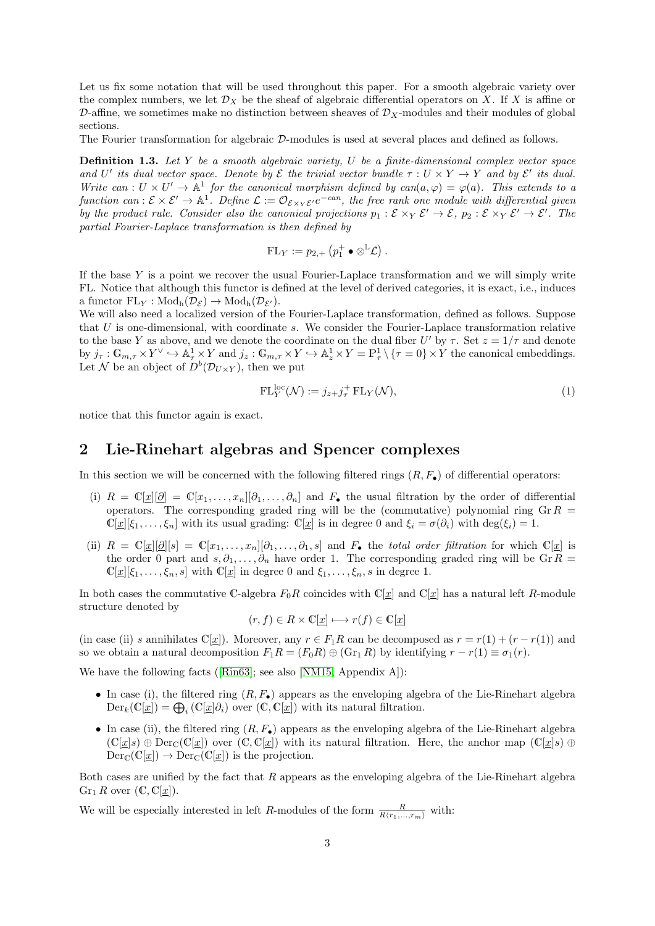Let us fix some notation that will be used throughout this paper. For a smooth algebraic variety over the complex numbers, we let  $\mathcal{D}_X$  be the sheaf of algebraic differential operators on X. If X is affine or D-affine, we sometimes make no distinction between sheaves of  $\mathcal{D}_X$ -modules and their modules of global sections.

The Fourier transformation for algebraic D-modules is used at several places and defined as follows.

Definition 1.3. Let Y be a smooth algebraic variety, U be a finite-dimensional complex vector space and U' its dual vector space. Denote by  $\mathcal E$  the trivial vector bundle  $\tau: U \times Y \to Y$  and by  $\mathcal E'$  its dual. Write can:  $U \times U' \rightarrow \mathbb{A}^1$  for the canonical morphism defined by can( $a, \varphi$ ) =  $\varphi(a)$ . This extends to a function can:  $\mathcal{E} \times \mathcal{E}' \to \mathbb{A}^1$ . Define  $\mathcal{L} := \mathcal{O}_{\mathcal{E} \times_Y \mathcal{E}'} e^{-cn}$ , the free rank one module with differential given by the product rule. Consider also the canonical projections  $p_1 : \mathcal{E} \times_Y \mathcal{E}' \to \mathcal{E}$ ,  $p_2 : \mathcal{E} \times_Y \mathcal{E}' \to \mathcal{E}'$ . The partial Fourier-Laplace transformation is then defined by

$$
\mathrm{FL}_Y := p_{2,+} \left( p_1^+ \bullet \otimes^{\mathbb{L}} \mathcal{L} \right).
$$

If the base  $Y$  is a point we recover the usual Fourier-Laplace transformation and we will simply write FL. Notice that although this functor is defined at the level of derived categories, it is exact, i.e., induces a functor  $FL_Y : Mod_h(\mathcal{D}_{\mathcal{E}}) \to Mod_h(\mathcal{D}_{\mathcal{E}})$ .

We will also need a localized version of the Fourier-Laplace transformation, defined as follows. Suppose that U is one-dimensional, with coordinate s. We consider the Fourier-Laplace transformation relative to the base Y as above, and we denote the coordinate on the dual fiber U' by  $\tau$ . Set  $z = 1/\tau$  and denote by  $j_{\tau}: \mathbb{G}_{m,\tau} \times Y^{\vee} \hookrightarrow \mathbb{A}_{\tau}^1 \times Y$  and  $j_z: \mathbb{G}_{m,\tau} \times Y \hookrightarrow \mathbb{A}_{z}^1 \times Y = \mathbb{P}_{\tau}^1 \setminus {\tau = 0} \times Y$  the canonical embeddings. Let N be an object of  $D^b(\mathcal{D}_{U\times Y})$ , then we put

<span id="page-2-0"></span>
$$
\mathrm{FL}_Y^{\mathrm{loc}}(\mathcal{N}) := j_{z+}j_{\tau}^+ \mathrm{FL}_Y(\mathcal{N}),\tag{1}
$$

notice that this functor again is exact.

#### 2 Lie-Rinehart algebras and Spencer complexes

In this section we will be concerned with the following filtered rings  $(R, F_{\bullet})$  of differential operators:

- (i)  $R = \mathbb{C}[x][\partial] = \mathbb{C}[x_1,\ldots,x_n][\partial_1,\ldots,\partial_n]$  and  $F_{\bullet}$  the usual filtration by the order of differential operators. The corresponding graded ring will be the (commutative) polynomial ring  $Gr R =$  $\mathbb{C}[\underline{x}][\xi_1,\ldots,\xi_n]$  with its usual grading:  $\mathbb{C}[\underline{x}]$  is in degree 0 and  $\xi_i = \sigma(\partial_i)$  with  $\deg(\xi_i) = 1$ .
- (ii)  $R = \mathbb{C}[\underline{x}][\underline{\partial}][s] = \mathbb{C}[x_1,\ldots,x_n][\partial_1,\ldots,\partial_1,s]$  and  $F_{\bullet}$  the *total order filtration* for which  $\mathbb{C}[\underline{x}]$  is the order 0 part and  $s, \partial_1, \ldots, \partial_n$  have order 1. The corresponding graded ring will be Gr R =  $\mathbb{C}[x][\xi_1,\ldots,\xi_n,s]$  with  $\mathbb{C}[x]$  in degree 0 and  $\xi_1,\ldots,\xi_n,s$  in degree 1.

In both cases the commutative C-algebra  $F_0R$  coincides with  $\mathbb{C}[x]$  and  $\mathbb{C}[x]$  has a natural left R-module structure denoted by

$$
(r, f) \in R \times \mathbb{C}[\underline{x}] \longmapsto r(f) \in \mathbb{C}[\underline{x}]
$$

(in case (ii) s annihilates  $\mathbb{C}[x]$ ). Moreover, any  $r \in F_1R$  can be decomposed as  $r = r(1) + (r - r(1))$  and so we obtain a natural decomposition  $F_1R = (F_0R) \oplus (\text{Gr}_1 R)$  by identifying  $r - r(1) \equiv \sigma_1(r)$ .

We have the following facts([\[Rin63\]](#page-22-15); see also [\[NM15,](#page-22-13) Appendix A]):

- In case (i), the filtered ring  $(R, F_{\bullet})$  appears as the enveloping algebra of the Lie-Rinehart algebra  $\text{Der}_k(\mathbb{C}[\underline{x}]) = \bigoplus_i (\mathbb{C}[\underline{x}]\partial_i)$  over  $(\mathbb{C}, \mathbb{C}[\underline{x}])$  with its natural filtration.
- In case (ii), the filtered ring  $(R, F_{\bullet})$  appears as the enveloping algebra of the Lie-Rinehart algebra  $(\mathbb{C}[x]s) \oplus \text{Der}_{\mathbb{C}}(\mathbb{C}[x])$  over  $(\mathbb{C}, \mathbb{C}[x])$  with its natural filtration. Here, the anchor map  $(\mathbb{C}[x]s) \oplus$  $Der_{\mathbb{C}}(\mathbb{C}[x]) \to Der_{\mathbb{C}}(\mathbb{C}[x])$  is the projection.

Both cases are unified by the fact that  $R$  appears as the enveloping algebra of the Lie-Rinehart algebra  $Gr_1 R$  over  $(\mathbb{C}, \mathbb{C}[x])$ .

We will be especially interested in left R-modules of the form  $\frac{R}{R(r_1,...,r_m)}$  with: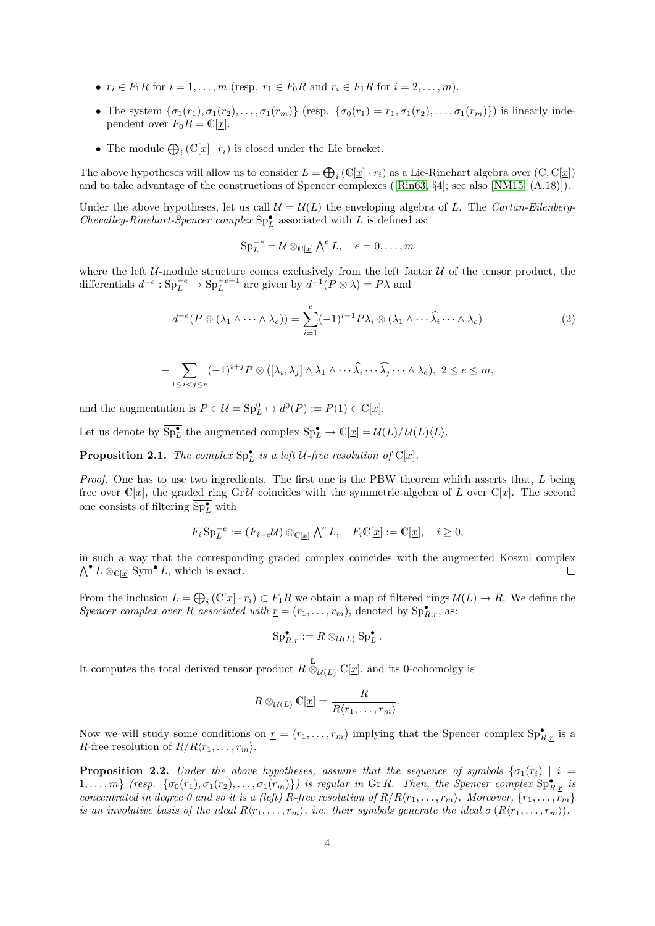- $r_i \in F_1R$  for  $i = 1, ..., m$  (resp.  $r_1 \in F_0R$  and  $r_i \in F_1R$  for  $i = 2, ..., m$ ).
- The system  $\{\sigma_1(r_1), \sigma_1(r_2), \ldots, \sigma_1(r_m)\}\$  (resp.  $\{\sigma_0(r_1) = r_1, \sigma_1(r_2), \ldots, \sigma_1(r_m)\}\$ ) is linearly independent over  $F_0R = \mathbb{C}[\underline{x}].$
- The module  $\bigoplus_i (\mathbb{C}[\underline{x}] \cdot r_i)$  is closed under the Lie bracket.

The above hypotheses will allow us to consider  $L = \bigoplus_i (\mathbb{C}[\underline{x}] \cdot r_i)$  as a Lie-Rinehart algebra over  $(\mathbb{C}, \mathbb{C}[\underline{x}])$ and to take advantage of the constructions of Spencer complexes([\[Rin63,](#page-22-15) §4]; see also [\[NM15,](#page-22-13) (A.18)]).

Under the above hypotheses, let us call  $\mathcal{U} = \mathcal{U}(L)$  the enveloping algebra of L. The Cartan-Eilenberg-Chevalley-Rinehart-Spencer complex  $\text{Sp}^\bullet_L$  associated with  $L$  is defined as:

$$
\mathrm{Sp}_L^{-e} = \mathcal{U} \otimes_{\mathbb{C}[\underline{x}]} \bigwedge^e L, \quad e = 0, \dots, m
$$

where the left  $U$ -module structure comes exclusively from the left factor  $U$  of the tensor product, the differentials  $d^{-e}: \text{Sp}_L^{-e} \to \text{Sp}_L^{-e+1}$  are given by  $d^{-1}(P \otimes \lambda) = P\lambda$  and

<span id="page-3-2"></span>
$$
d^{-e}(P \otimes (\lambda_1 \wedge \cdots \wedge \lambda_e)) = \sum_{i=1}^e (-1)^{i-1} P \lambda_i \otimes (\lambda_1 \wedge \cdots \widehat{\lambda_i} \cdots \wedge \lambda_e)
$$
 (2)

+ 
$$
\sum_{1 \leq i < j \leq e} (-1)^{i+j} P \otimes ([\lambda_i, \lambda_j] \wedge \lambda_1 \wedge \cdots \widehat{\lambda_i} \cdots \widehat{\lambda_j} \cdots \wedge \lambda_e), \ 2 \leq e \leq m,
$$

and the augmentation is  $P \in \mathcal{U} = \text{Sp}_{L}^{0} \mapsto d^{0}(P) := P(1) \in \mathbb{C}[\underline{x}].$ 

Let us denote by  $\overline{\mathrm{Sp}_{L}^{\bullet}}$  the augmented complex  $\mathrm{Sp}_{L}^{\bullet} \to \mathbb{C}[\underline{x}] = \mathcal{U}(L)/\mathcal{U}(L)\langle L \rangle$ .

<span id="page-3-0"></span>**Proposition 2.1.** The complex  $\text{Sp}_L^{\bullet}$  is a left U-free resolution of  $\mathbb{C}[\underline{x}]$ .

Proof. One has to use two ingredients. The first one is the PBW theorem which asserts that, L being free over  $\mathbb{C}[\underline{x}]$ , the graded ring GrU coincides with the symmetric algebra of L over  $\mathbb{C}[\underline{x}]$ . The second one consists of filtering  $\overline{\text{Sp}_{L}^{\bullet}}$  with

$$
F_i \operatorname{Sp}_L^{-e} := (F_{i-e} \mathcal{U}) \otimes_{\mathbb{C}[\underline{x}]} \bigwedge^e L, \quad F_i \mathbb{C}[\underline{x}] := \mathbb{C}[\underline{x}], \quad i \ge 0,
$$

in such a way that the corresponding graded complex coincides with the augmented Koszul complex  $\bigwedge^{\bullet} L \otimes_{\mathbb{C}[\underline{x}]} \text{Sym}^{\bullet} L$ , which is exact.  $\Box$ 

From the inclusion  $L = \bigoplus_i (\mathbb{C}[\underline{x}] \cdot r_i) \subset F_1R$  we obtain a map of filtered rings  $\mathcal{U}(L) \to R$ . We define the Spencer complex over R associated with  $\underline{r} = (r_1, \ldots, r_m)$ , denoted by  $\text{Sp}_{R,r}^{\bullet}$ , as:

$$
\mathrm{Sp}_{R,\underline{r}}^{\bullet} := R \otimes_{\mathcal{U}(L)} \mathrm{Sp}_{L}^{\bullet}.
$$

It computes the total derived tensor product  $R \overset{\mathbf{L}}{\otimes}_{\mathcal{U}(L)} \mathbb{C}[\underline{x}]$ , and its 0-cohomolgy is

$$
R \otimes_{\mathcal{U}(L)} \mathbb{C}[\underline{x}] = \frac{R}{R \langle r_1, \dots, r_m \rangle}.
$$

Now we will study some conditions on  $\underline{r} = (r_1, \ldots, r_m)$  implying that the Spencer complex  $\text{Sp}_{R,\underline{r}}^{\bullet}$  is a R-free resolution of  $R/R\langle r_1, \ldots, r_m \rangle$ .

<span id="page-3-1"></span>**Proposition 2.2.** Under the above hypotheses, assume that the sequence of symbols  $\{\sigma_1(r_i) \mid i =$  $1,\ldots,m$ } (resp.  $\{\sigma_0(r_1),\sigma_1(r_2),\ldots,\sigma_1(r_m)\}\)$  is regular in Gr R. Then, the Spencer complex  $\text{Sp}_{R,\underline{r}}^{\bullet}$  is concentrated in degree 0 and so it is a (left) R-free resolution of  $R/R\langle r_1, \ldots, r_m \rangle$ . Moreover,  $\{r_1, \ldots, r_m\}$ is an involutive basis of the ideal  $R(r_1, \ldots, r_m)$ , i.e. their symbols generate the ideal  $\sigma(R(r_1, \ldots, r_m))$ .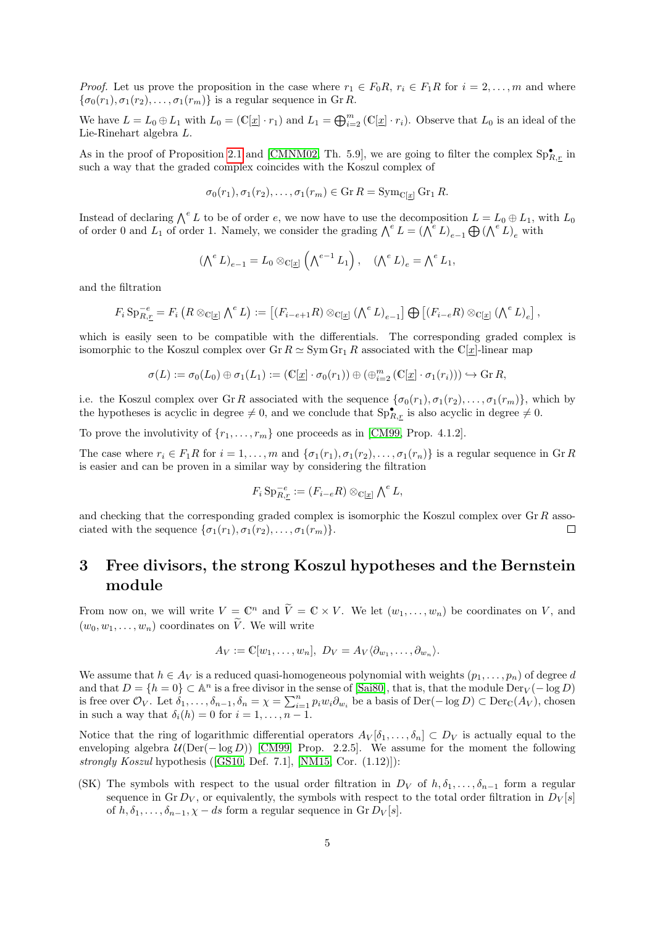*Proof.* Let us prove the proposition in the case where  $r_1 \in F_0R$ ,  $r_i \in F_1R$  for  $i = 2, \ldots, m$  and where  $\{\sigma_0(r_1), \sigma_1(r_2), \ldots, \sigma_1(r_m)\}\$ is a regular sequence in Gr R.

We have  $L = L_0 \oplus L_1$  with  $L_0 = (\mathbb{C}[\underline{x}] \cdot r_1)$  and  $L_1 = \bigoplus_{i=2}^m (\mathbb{C}[\underline{x}] \cdot r_i)$ . Observe that  $L_0$  is an ideal of the Lie-Rinehart algebra L.

As in the proof of Proposition [2.1](#page-3-0) and [\[CMNM02,](#page-22-11) Th. 5.9], we are going to filter the complex  $Sp_{R,\mathcal{I}}^{\bullet}$  in such a way that the graded complex coincides with the Koszul complex of

 $\sigma_0(r_1), \sigma_1(r_2), \ldots, \sigma_1(r_m) \in \mathrm{Gr}\,R = \mathrm{Sym}_{\mathbb{C}[x]} \mathrm{Gr}_1 R.$ 

Instead of declaring  $\bigwedge^e L$  to be of order e, we now have to use the decomposition  $L = L_0 \oplus L_1$ , with  $L_0$ of order 0 and  $L_1$  of order 1. Namely, we consider the grading  $\bigwedge^e L = \bigwedge^e L_{e-1} \bigoplus (\bigwedge^e L)_e$  with

$$
(\bigwedge^e L)_{e-1} = L_0 \otimes_{\mathbb{C}[\underline{x}]} \left(\bigwedge^{e-1} L_1\right), \quad (\bigwedge^e L)_e = \bigwedge^e L_1,
$$

and the filtration

$$
F_i \operatorname{Sp}_{R,\underline{r}}^{-e} = F_i \left( R \otimes_{\mathbb{C}[\underline{x}]} \bigwedge^e L \right) := \left[ \left( F_{i-e+1} R \right) \otimes_{\mathbb{C}[\underline{x}]} \left( \bigwedge^e L \right)_{e-1} \right] \bigoplus \left[ \left( F_{i-e} R \right) \otimes_{\mathbb{C}[\underline{x}]} \left( \bigwedge^e L \right)_{e} \right],
$$

which is easily seen to be compatible with the differentials. The corresponding graded complex is isomorphic to the Koszul complex over Gr  $R \simeq Sym Gr_1 R$  associated with the C[x]-linear map

$$
\sigma(L) := \sigma_0(L_0) \oplus \sigma_1(L_1) := (\mathbb{C}[\underline{x}] \cdot \sigma_0(r_1)) \oplus (\bigoplus_{i=2}^m (\mathbb{C}[\underline{x}] \cdot \sigma_1(r_i))) \hookrightarrow \text{Gr } R,
$$

i.e. the Koszul complex over Gr R associated with the sequence  $\{\sigma_0(r_1), \sigma_1(r_2), \ldots, \sigma_1(r_m)\}\,$  which by the hypotheses is acyclic in degree  $\neq 0$ , and we conclude that  $\text{Sp}_{R,r}^{\bullet}$  is also acyclic in degree  $\neq 0$ .

To prove the involutivity of  $\{r_1, \ldots, r_m\}$  one proceeds as in [\[CM99,](#page-22-10) Prop. 4.1.2].

The case where  $r_i \in F_1R$  for  $i = 1, ..., m$  and  $\{\sigma_1(r_1), \sigma_1(r_2), ..., \sigma_1(r_n)\}\)$  is a regular sequence in Gr R is easier and can be proven in a similar way by considering the filtration

$$
F_i \operatorname{Sp}_{R,\underline{r}}^{-e} := (F_{i-e}R) \otimes_{\mathbb{C}[\underline{x}]} \bigwedge^e L,
$$

and checking that the corresponding graded complex is isomorphic the Koszul complex over  $\text{Gr } R$  associated with the sequence  $\{\sigma_1(r_1), \sigma_1(r_2), \ldots, \sigma_1(r_m)\}.$ П

# <span id="page-4-0"></span>3 Free divisors, the strong Koszul hypotheses and the Bernstein module

From now on, we will write  $V = \mathbb{C}^n$  and  $\widetilde{V} = \mathbb{C} \times V$ . We let  $(w_1, \ldots, w_n)$  be coordinates on V, and  $(w_0, w_1, \ldots, w_n)$  coordinates on  $\widetilde{V}$ . We will write

$$
A_V := \mathbb{C}[w_1,\ldots,w_n], D_V = A_V \langle \partial_{w_1},\ldots,\partial_{w_n} \rangle.
$$

We assume that  $h \in A_V$  is a reduced quasi-homogeneous polynomial with weights  $(p_1, \ldots, p_n)$  of degree d and that  $D = \{h = 0\} \subset \mathbb{A}^n$  is a free divisor in the sense of [\[Sai80\]](#page-23-2), that is, that the module  $\text{Der}_V(-\log D)$ is free over  $\mathcal{O}_V$ . Let  $\delta_1, \ldots, \delta_{n-1}, \delta_n = \chi = \sum_{i=1}^n p_i w_i \partial_{w_i}$  be a basis of  $\mathrm{Der}(-\log D) \subset \mathrm{Der}_{\mathbb{C}}(A_V)$ , chosen in such a way that  $\delta_i(h) = 0$  for  $i = 1, \ldots, n - 1$ .

Notice that the ring of logarithmic differential operators  $A_V[\delta_1,\ldots,\delta_n] \subset D_V$  is actually equal to the enveloping algebra  $U(\text{Der}(-\log D))$  [\[CM99,](#page-22-10) Prop. 2.2.5]. We assume for the moment the following strongly Koszul hypothesis([\[GS10,](#page-22-8) Def. 7.1], [\[NM15,](#page-22-13) Cor. (1.12)]):

(SK) The symbols with respect to the usual order filtration in  $D_V$  of  $h, \delta_1, \ldots, \delta_{n-1}$  form a regular sequence in Gr  $D_V$ , or equivalently, the symbols with respect to the total order filtration in  $D_V[s]$ of  $h, \delta_1, \ldots, \delta_{n-1}, \chi - ds$  form a regular sequence in Gr  $D_V[s]$ .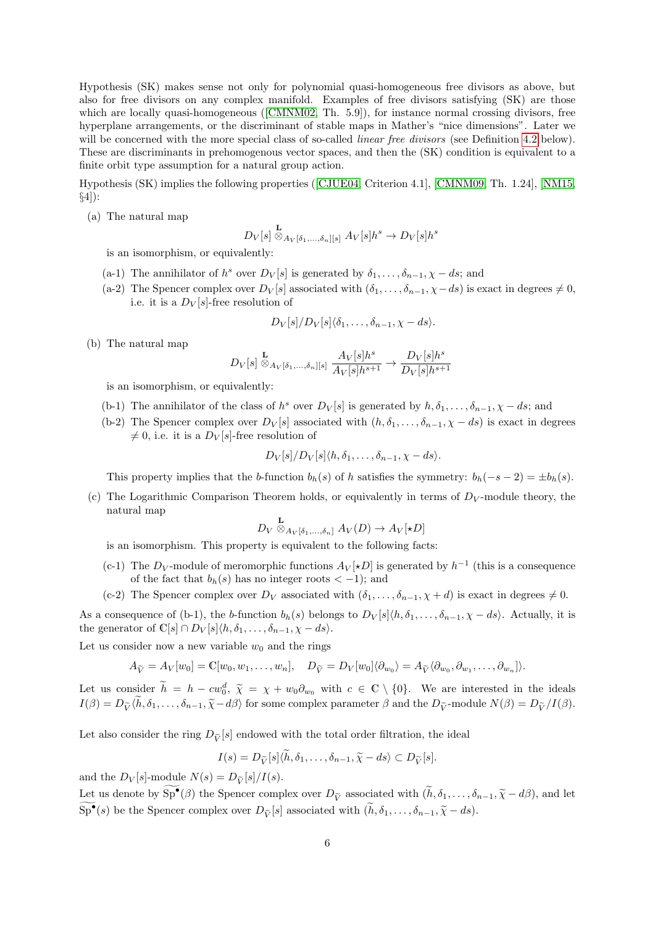Hypothesis (SK) makes sense not only for polynomial quasi-homogeneous free divisors as above, but also for free divisors on any complex manifold. Examples of free divisors satisfying (SK) are those whichare locally quasi-homogeneous ([\[CMNM02,](#page-22-11) Th. 5.9]), for instance normal crossing divisors, free hyperplane arrangements, or the discriminant of stable maps in Mather's "nice dimensions". Later we will be concerned with the more special class of so-called *linear free divisors* (see Definition [4.2](#page-9-0) below). These are discriminants in prehomogenous vector spaces, and then the (SK) condition is equivalent to a finite orbit type assumption for a natural group action.

Hypothesis (SK) implies the following properties ([\[CJUE04,](#page-21-4) Criterion 4.1], [\[CMNM09,](#page-22-12) Th. 1.24], [\[NM15,](#page-22-13) §4]):

(a) The natural map

$$
D_V[s] \overset{\mathbf{L}}{\otimes}_{A_V[\delta_1,\ldots,\delta_n][s]} A_V[s]h^s \to D_V[s]h^s
$$

is an isomorphism, or equivalently:

- (a-1) The annihilator of  $h^s$  over  $D_V[s]$  is generated by  $\delta_1, \ldots, \delta_{n-1}, \chi ds$ ; and
- (a-2) The Spencer complex over  $D_V[s]$  associated with  $(\delta_1, \ldots, \delta_{n-1}, \chi ds)$  is exact in degrees  $\neq 0$ , i.e. it is a  $D_V[s]$ -free resolution of

$$
D_V[s]/D_V[s]\langle \delta_1,\ldots,\delta_{n-1},\chi-ds\rangle.
$$

(b) The natural map

$$
D_V[s] \overset{\mathbf{L}}{\otimes}_{A_V[\delta_1,\ldots,\delta_n][s]} \frac{A_V[s]h^s}{A_V[s]h^{s+1}} \to \frac{D_V[s]h^s}{D_V[s]h^{s+1}}
$$

is an isomorphism, or equivalently:

- (b-1) The annihilator of the class of  $h^s$  over  $D_V[s]$  is generated by  $h, \delta_1, \ldots, \delta_{n-1}, \chi ds$ ; and
- (b-2) The Spencer complex over  $D_V[s]$  associated with  $(h, \delta_1, \ldots, \delta_{n-1}, \chi ds)$  is exact in degrees  $\neq 0$ , i.e. it is a  $D_V[s]$ -free resolution of

$$
D_V[s]/D_V[s]\langle h,\delta_1,\ldots,\delta_{n-1},\chi-ds\rangle.
$$

This property implies that the b-function  $b_h(s)$  of h satisfies the symmetry:  $b_h(-s-2) = \pm b_h(s)$ .

(c) The Logarithmic Comparison Theorem holds, or equivalently in terms of  $D_V$ -module theory, the natural map

$$
D_V \overset{\mathbf{L}}{\otimes}_{A_V[\delta_1,\ldots,\delta_n]} A_V(D) \to A_V[\star D]
$$

is an isomorphism. This property is equivalent to the following facts:

- (c-1) The  $D_V$ -module of meromorphic functions  $A_V[\star D]$  is generated by  $h^{-1}$  (this is a consequence of the fact that  $b_h(s)$  has no integer roots  $\lt -1$ ; and
- (c-2) The Spencer complex over  $D_V$  associated with  $(\delta_1, \ldots, \delta_{n-1}, \chi + d)$  is exact in degrees  $\neq 0$ .

As a consequence of (b-1), the b-function  $b_h(s)$  belongs to  $D_V[s]\langle h, \delta_1, \ldots, \delta_{n-1}, \chi - ds\rangle$ . Actually, it is the generator of  $\mathbb{C}[s] \cap D_V[s] \langle h, \delta_1, \ldots, \delta_{n-1}, \chi - ds \rangle.$ 

Let us consider now a new variable  $w_0$  and the rings

$$
A_{\widetilde{V}} = A_V[w_0] = \mathbb{C}[w_0, w_1, \dots, w_n], \quad D_{\widetilde{V}} = D_V[w_0] \langle \partial_{w_0} \rangle = A_{\widetilde{V}} \langle \partial_{w_0}, \partial_{w_1}, \dots, \partial_{w_n} \rangle.
$$

Let us consider  $\widetilde{h} = h - c w_0^d$ ,  $\widetilde{\chi} = \chi + w_0 \partial_{w_0}$  with  $c \in \mathbb{C} \setminus \{0\}$ . We are interested in the ideals  $I(\beta) = D_{\widetilde{V}}(\widetilde{h}, \delta_1, \ldots, \delta_{n-1}, \widetilde{\chi} - d\beta)$  for some complex parameter  $\beta$  and the  $D_{\widetilde{V}}$ -module  $N(\beta) = D_{\widetilde{V}}/I(\beta)$ .

Let also consider the ring  $D_{\tilde{V}}[s]$  endowed with the total order filtration, the ideal

$$
I(s) = D_{\widetilde{V}}[s] \langle \widetilde{h}, \delta_1, \dots, \delta_{n-1}, \widetilde{\chi} - ds \rangle \subset D_{\widetilde{V}}[s].
$$

and the  $D_V[s]$ -module  $N(s) = D_{\widetilde{V}}[s]/I(s)$ .

Let us denote by  $\text{Sp}^{\bullet}(\beta)$  the Spencer complex over  $D_{\tilde{V}}$  associated with  $(\tilde{h}, \delta_1, \ldots, \delta_{n-1}, \tilde{\chi} - d\beta)$ , and let  $\widetilde{\mathrm{Sp}}^{\bullet}(s)$  be the Spencer complex over  $D_{\widetilde{V}}[s]$  associated with  $(\widetilde{h}, \delta_1, \ldots, \delta_{n-1}, \widetilde{\chi} - ds)$ .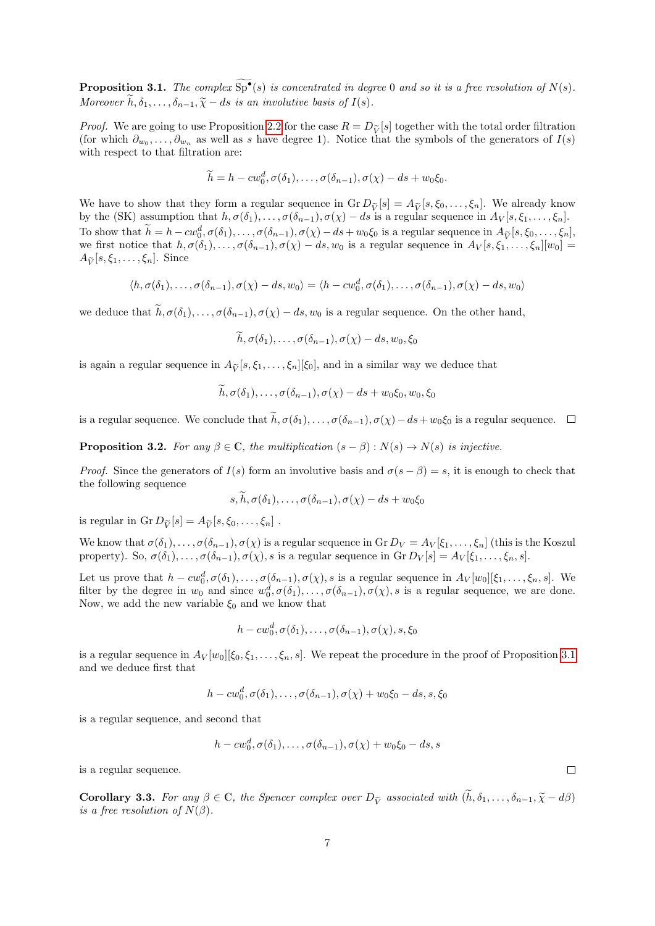<span id="page-6-0"></span>**Proposition 3.1.** The complex  $\overline{Sp}^{\bullet}(s)$  is concentrated in degree 0 and so it is a free resolution of  $N(s)$ . Moreover  $\widetilde{h}, \delta_1, \ldots, \delta_{n-1}, \widetilde{\chi} - ds$  is an involutive basis of  $I(s)$ .

*Proof.* We are going to use Proposition [2.2](#page-3-1) for the case  $R = D_{\tilde{V}}[s]$  together with the total order filtration (for which  $\partial_{w_0}, \ldots, \partial_{w_n}$  as well as s have degree 1). Notice that the symbols of the generators of  $I(s)$ with respect to that filtration are:

$$
\widetilde{h} = h - c w_0^d, \sigma(\delta_1), \dots, \sigma(\delta_{n-1}), \sigma(\chi) - ds + w_0 \xi_0.
$$

We have to show that they form a regular sequence in  $\operatorname{Gr} D_{\tilde{V}}[s] = A_{\tilde{V}}[s, \xi_0, \ldots, \xi_n].$  We already know by the (SK) assumption that  $h, \sigma(\delta_1), \ldots, \sigma(\delta_{n-1}), \sigma(\chi) - ds$  is a regular sequence in  $A_V[s, \xi_1, \ldots, \xi_n].$ To show that  $\tilde{h} = h - c w_0^d, \sigma(\delta_1), \ldots, \sigma(\delta_{n-1}), \sigma(\chi) - ds + w_0 \xi_0$  is a regular sequence in  $A_{\tilde{V}}[s, \xi_0, \ldots, \xi_n]$ , we first notice that  $h, \sigma(\delta_1), \ldots, \sigma(\delta_{n-1}), \sigma(\chi) - ds, w_0$  is a regular sequence in  $A_V[s, \xi_1, \ldots, \xi_n][w_0] =$  $A_{\widetilde{V}}[s,\xi_1,\ldots,\xi_n]$ . Since

$$
\langle h, \sigma(\delta_1), \ldots, \sigma(\delta_{n-1}), \sigma(\chi) - ds, w_0 \rangle = \langle h - c w_0^d, \sigma(\delta_1), \ldots, \sigma(\delta_{n-1}), \sigma(\chi) - ds, w_0 \rangle
$$

we deduce that  $\widetilde{h}, \sigma(\delta_1), \ldots, \sigma(\delta_{n-1}), \sigma(\chi) - ds, w_0$  is a regular sequence. On the other hand,

 $\widetilde{h}, \sigma(\delta_1), \ldots, \sigma(\delta_{n-1}), \sigma(\chi) - ds, w_0, \xi_0$ 

is again a regular sequence in  $A_{\tilde{V}}[s, \xi_1, \ldots, \xi_n][\xi_0]$ , and in a similar way we deduce that

$$
h, \sigma(\delta_1), \ldots, \sigma(\delta_{n-1}), \sigma(\chi) - ds + w_0 \xi_0, w_0, \xi_0
$$

is a regular sequence. We conclude that  $\widetilde{h}$ ,  $\sigma(\delta_1), \ldots, \sigma(\delta_{n-1}), \sigma(\chi)-ds+w_0\xi_0$  is a regular sequence.  $\square$ 

**Proposition 3.2.** For any  $\beta \in \mathbb{C}$ , the multiplication  $(s - \beta) : N(s) \to N(s)$  is injective.

*Proof.* Since the generators of  $I(s)$  form an involutive basis and  $\sigma(s - \beta) = s$ , it is enough to check that the following sequence

$$
s, h, \sigma(\delta_1), \ldots, \sigma(\delta_{n-1}), \sigma(\chi) - ds + w_0 \xi_0
$$

is regular in Gr  $D_{\widetilde{V}}[s] = A_{\widetilde{V}}[s, \xi_0, \ldots, \xi_n]$ .

We know that  $\sigma(\delta_1), \ldots, \sigma(\delta_{n-1}), \sigma(\chi)$  is a regular sequence in Gr  $D_V = A_V[\xi_1, \ldots, \xi_n]$  (this is the Koszul property). So,  $\sigma(\delta_1), \ldots, \sigma(\delta_{n-1}), \sigma(\chi), s$  is a regular sequence in Gr  $D_V[s] = A_V[\xi_1, \ldots, \xi_n, s]$ .

Let us prove that  $h - cw_0^d, \sigma(\delta_1), \ldots, \sigma(\delta_{n-1}), \sigma(\chi), s$  is a regular sequence in  $A_V[w_0][\xi_1, \ldots, \xi_n, s]$ . We filter by the degree in  $w_0$  and since  $w_0^d, \sigma(\delta_1), \ldots, \sigma(\delta_{n-1}), \sigma(\chi), s$  is a regular sequence, we are done. Now, we add the new variable  $\xi_0$  and we know that

$$
h-cw_0^d, \sigma(\delta_1), \ldots, \sigma(\delta_{n-1}), \sigma(\chi), s, \xi_0
$$

is a regular sequence in  $A_V[w_0][\xi_0, \xi_1, \ldots, \xi_n, s]$ . We repeat the procedure in the proof of Proposition [3.1](#page-6-0) and we deduce first that

$$
h-cw_0^d, \sigma(\delta_1), \ldots, \sigma(\delta_{n-1}), \sigma(\chi) + w_0 \xi_0 - ds, s, \xi_0
$$

is a regular sequence, and second that

$$
h-cw_0^d, \sigma(\delta_1), \ldots, \sigma(\delta_{n-1}), \sigma(\chi) + w_0 \xi_0 - ds, s
$$

is a regular sequence.

<span id="page-6-1"></span>**Corollary 3.3.** For any  $\beta \in \mathbb{C}$ , the Spencer complex over  $D_{\tilde{V}}$  associated with  $(\tilde{h}, \delta_1, \ldots, \delta_{n-1}, \tilde{\chi} - d\beta)$ is a free resolution of  $N(\beta)$ .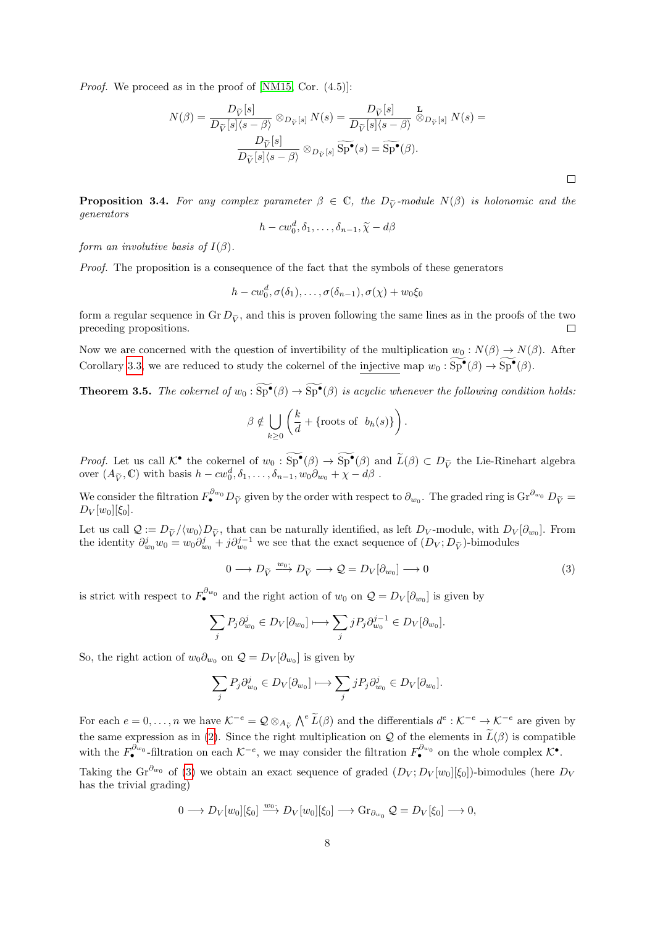*Proof.* We proceed as in the proof of [\[NM15,](#page-22-13) Cor.  $(4.5)$ ]:

$$
N(\beta) = \frac{D_{\widetilde{V}}[s]}{D_{\widetilde{V}}[s] \langle s - \beta \rangle} \otimes_{D_{\widetilde{V}}[s]} N(s) = \frac{D_{\widetilde{V}}[s]}{D_{\widetilde{V}}[s] \langle s - \beta \rangle} \otimes_{D_{\widetilde{V}}[s]} N(s) = \frac{D_{\widetilde{V}}[s]}{D_{\widetilde{V}}[s] \langle s - \beta \rangle} \otimes_{D_{\widetilde{V}}[s]} \widetilde{\text{Sp}}^{\bullet}(s) = \widetilde{\text{Sp}}^{\bullet}(\beta).
$$

**Proposition 3.4.** For any complex parameter  $\beta \in \mathbb{C}$ , the  $D_{\tilde{\nu}}$ -module  $N(\beta)$  is holonomic and the generators

$$
h-cw_0^d, \delta_1,\ldots,\delta_{n-1}, \widetilde{\chi}-d\beta
$$

form an involutive basis of  $I(\beta)$ .

Proof. The proposition is a consequence of the fact that the symbols of these generators

$$
h-cw_0^d, \sigma(\delta_1), \ldots, \sigma(\delta_{n-1}), \sigma(\chi)+w_0\xi_0
$$

form a regular sequence in Gr  $D_{\tilde{V}}$ , and this is proven following the same lines as in the proofs of the two preceding propositions. preceding propositions.

Now we are concerned with the question of invertibility of the multiplication  $w_0 : N(\beta) \to N(\beta)$ . After Corollary [3.3,](#page-6-1) we are reduced to study the cokernel of the <u>injective</u> map  $w_0 : \overline{\text{Sp}}^{\bullet}(\beta) \to \overline{\text{Sp}}^{\bullet}(\beta)$ .

<span id="page-7-1"></span>**Theorem 3.5.** The cokernel of  $w_0 : \widetilde{\text{Sp}}^{\bullet}(\beta) \to \widetilde{\text{Sp}}^{\bullet}(\beta)$  is acyclic whenever the following condition holds:

$$
\beta \notin \bigcup_{k \geq 0} \left( \frac{k}{d} + \{ \text{roots of } b_h(s) \} \right).
$$

*Proof.* Let us call  $\mathcal{K}^{\bullet}$  the cokernel of  $w_0 : \text{Sp}^{\bullet}(\beta) \to \text{Sp}^{\bullet}(\beta)$  and  $\widetilde{L}(\beta) \subset D_{\widetilde{V}}$  the Lie-Rinehart algebra over  $(A_{\widetilde{V}}, \mathbb{C})$  with basis  $h - cw_0^d, \delta_1, \ldots, \delta_{n-1}, w_0 \partial_{w_0} + \chi - d\beta$ .

We consider the filtration  $F^{\partial_{w_0}} D_{\tilde{V}}$  given by the order with respect to  $\partial_{w_0}$ . The graded ring is  $\text{Gr}^{\partial_{w_0}} D_{\tilde{V}} =$  $D_V[w_0][\xi_0].$ 

Let us call  $\mathcal{Q} := D_{\tilde{V}} / \langle w_0 \rangle D_{\tilde{V}}$ , that can be naturally identified, as left  $D_V$ -module, with  $D_V[\partial_{w_0}]$ . From the identity  $\partial_{w_0}^j w_0 = w_0 \partial_{w_0}^j + j \partial_{w_0}^{j-1}$  we see that the exact sequence of  $(D_V; D_{\widetilde{V}})$ -bimodules

<span id="page-7-0"></span>
$$
0 \longrightarrow D_{\widetilde{V}} \xrightarrow{w_0} D_{\widetilde{V}} \longrightarrow \mathcal{Q} = D_V[\partial_{w_0}] \longrightarrow 0
$$
\n
$$
(3)
$$

is strict with respect to  $F_{\bullet}^{\partial w_0}$  and the right action of  $w_0$  on  $\mathcal{Q} = D_V[\partial_{w_0}]$  is given by

$$
\sum_j P_j \partial_{w_0}^j \in D_V[\partial_{w_0}] \longmapsto \sum_j j P_j \partial_{w_0}^{j-1} \in D_V[\partial_{w_0}].
$$

So, the right action of  $w_0 \partial_{w_0}$  on  $\mathcal{Q} = D_V[\partial_{w_0}]$  is given by

$$
\sum_j P_j \partial_{w_0}^j \in D_V[\partial_{w_0}] \longmapsto \sum_j j P_j \partial_{w_0}^j \in D_V[\partial_{w_0}].
$$

For each  $e = 0, \ldots, n$  we have  $\mathcal{K}^{-e} = \mathcal{Q} \otimes_{A_{\tilde{V}}} \bigwedge^e \widetilde{L}(\beta)$  and the differentials  $d^e : \mathcal{K}^{-e} \to \mathcal{K}^{-e}$  are given by the same expression as in [\(2\)](#page-3-2). Since the right multiplication on Q of the elements in  $\tilde{L}(\beta)$  is compatible with the  $F_{\bullet}^{\partial_{w_0}}$ -filtration on each  $\mathcal{K}^{-e}$ , we may consider the filtration  $F_{\bullet}^{\partial_{w_0}}$  on the whole complex  $\mathcal{K}^{\bullet}$ .

Taking the Gr<sup> $\partial_{w_0}$ </sup> of [\(3\)](#page-7-0) we obtain an exact sequence of graded  $(D_V; D_V[w_0][\xi_0])$ -bimodules (here  $D_V$ has the trivial grading)

$$
0 \longrightarrow D_V[w_0][\xi_0] \xrightarrow{w_0} D_V[w_0][\xi_0] \longrightarrow \text{Gr}_{\partial_{w_0}} \mathcal{Q} = D_V[\xi_0] \longrightarrow 0,
$$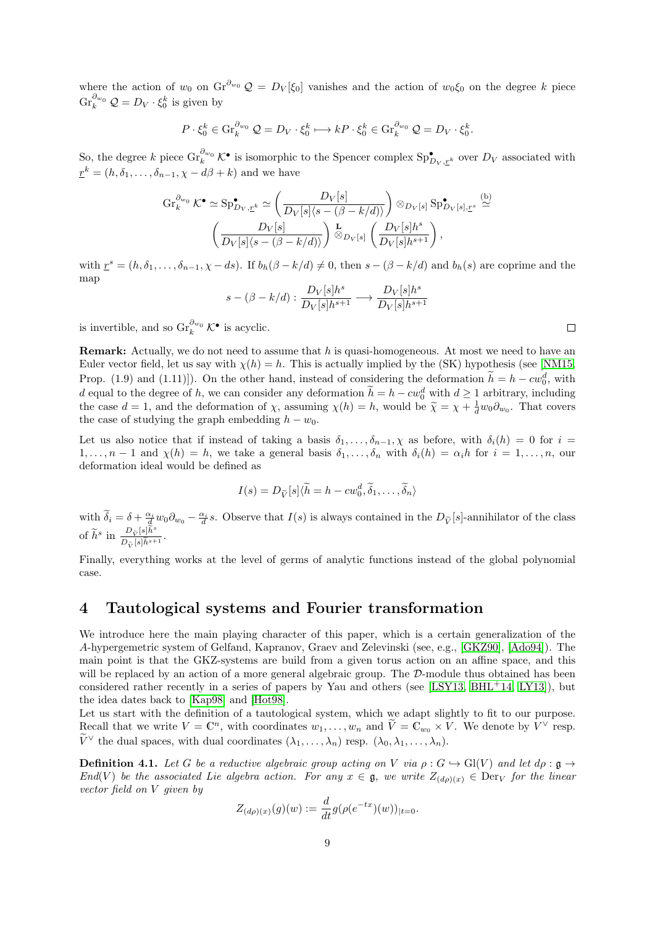where the action of  $w_0$  on  $\text{Gr}^{\partial_{w_0}}\mathcal{Q} = D_V[\xi_0]$  vanishes and the action of  $w_0\xi_0$  on the degree k piece  $\operatorname{Gr}_{k}^{\partial_{w_0}} \mathcal{Q} = D_V \cdot \xi_0^k$  is given by

$$
P \cdot \xi_0^k \in \operatorname{Gr}_k^{\partial_{w_0}} \mathcal{Q} = D_V \cdot \xi_0^k \longmapsto kP \cdot \xi_0^k \in \operatorname{Gr}_k^{\partial_{w_0}} \mathcal{Q} = D_V \cdot \xi_0^k.
$$

So, the degree k piece  $\text{Gr}_{k}^{\partial_{w_0}} \mathcal{K}^{\bullet}$  is isomorphic to the Spencer complex  $\text{Sp}_{\mathcal{D}_V, \mathcal{I}^k}^{\bullet}$  over  $D_V$  associated with  $\underline{r}^k = (h, \delta_1, \ldots, \delta_{n-1}, \chi - d\beta + k)$  and we have

$$
\operatorname{Gr}_{k}^{\partial_{w_{0}}} \mathcal{K}^{\bullet} \simeq \operatorname{Sp}_{D_{V},\underline{r}^{k}}^{\bullet} \simeq \left( \frac{D_{V}[s]}{D_{V}[s] \langle s - (\beta - k/d) \rangle} \right) \otimes_{D_{V}[s]} \operatorname{Sp}_{D_{V}[s],\underline{r}^{s}}^{\bullet} \simeq
$$

$$
\left( \frac{D_{V}[s]}{D_{V}[s] \langle s - (\beta - k/d) \rangle} \right) \overset{\mathbf{L}}{\otimes}_{D_{V}[s]} \left( \frac{D_{V}[s]h^{s}}{D_{V}[s]h^{s+1}} \right),
$$

with  $r^s = (h, \delta_1, \ldots, \delta_{n-1}, \chi - ds)$ . If  $b_h(\beta - k/d) \neq 0$ , then  $s - (\beta - k/d)$  and  $b_h(s)$  are coprime and the map

$$
s - (\beta - k/d) : \frac{D_V[s]h^s}{D_V[s]h^{s+1}} \longrightarrow \frac{D_V[s]h^s}{D_V[s]h^{s+1}}
$$

is invertible, and so  $\text{Gr}_{k}^{\partial_{w_0}} C^{\bullet}$  is acyclic.

**Remark:** Actually, we do not need to assume that  $h$  is quasi-homogeneous. At most we need to have an Euler vector field, let us say with  $\chi(h) = h$ . This is actually implied by the (SK) hypothesis (see [\[NM15,](#page-22-13) Prop. (1.9) and (1.11)]). On the other hand, instead of considering the deformation  $h = h - cw_0^d$ , with d equal to the degree of h, we can consider any deformation  $\tilde{h} = h - cw_0^d$  with  $d \ge 1$  arbitrary, including the case  $d = 1$ , and the deformation of  $\chi$ , assuming  $\chi(h) = h$ , would be  $\tilde{\chi} = \chi + \frac{1}{d}w_0\partial_{w_0}$ . That covers the case of studying the graph embedding  $h - w_0$ .

Let us also notice that if instead of taking a basis  $\delta_1, \ldots, \delta_{n-1}, \chi$  as before, with  $\delta_i(h) = 0$  for  $i =$  $1, \ldots, n-1$  and  $\chi(h) = h$ , we take a general basis  $\delta_1, \ldots, \delta_n$  with  $\delta_i(h) = \alpha_i h$  for  $i = 1, \ldots, n$ , our deformation ideal would be defined as

$$
I(s) = D_{\widetilde{V}}[s]\langle \widetilde{h} = h - cw_0^d, \widetilde{\delta}_1, \dots, \widetilde{\delta}_n \rangle
$$

with  $\widetilde{\delta}_i = \delta + \frac{\alpha_i}{d} w_0 \partial_{w_0} - \frac{\alpha_i}{d} s$ . Observe that  $I(s)$  is always contained in the  $D_{\widetilde{V}}[s]$ -annihilator of the class of  $\widetilde{h}^s$  in  $\frac{D_{\widetilde{V}}[s]\widetilde{h}^s}{D_{\widetilde{V}}[s]\widetilde{h}^{s+1}}$ .

Finally, everything works at the level of germs of analytic functions instead of the global polynomial case.

# 4 Tautological systems and Fourier transformation

We introduce here the main playing character of this paper, which is a certain generalization of the A-hypergemetric system of Gelfand, Kapranov, Graev and Zelevinski (see, e.g., [\[GKZ90\]](#page-22-4), [\[Ado94\]](#page-21-1)). The main point is that the GKZ-systems are build from a given torus action on an affine space, and this will be replaced by an action of a more general algebraic group. The  $\mathcal{D}\text{-module thus obtained has been}$ considered rather recently in a series of papers by Yau and others (see [\[LSY13,](#page-22-2) [BHL](#page-21-0)<sup>+</sup>14, [LY13\]](#page-22-3)), but the idea dates back to [\[Kap98\]](#page-22-1) and [\[Hot98\]](#page-22-0).

Let us start with the definition of a tautological system, which we adapt slightly to fit to our purpose. Recall that we write  $V = \mathbb{C}^n$ , with coordinates  $w_1, \ldots, w_n$  and  $\widetilde{V} = \mathbb{C}_{w_0} \times V$ . We denote by  $V^{\vee}$  resp.  $\widetilde{V}^{\vee}$  the dual spaces, with dual coordinates  $(\lambda_1, \ldots, \lambda_n)$  resp.  $(\lambda_0, \lambda_1, \ldots, \lambda_n)$ .

<span id="page-8-0"></span>**Definition 4.1.** Let G be a reductive algebraic group acting on V via  $\rho : G \hookrightarrow Gl(V)$  and let  $d\rho : \mathfrak{g} \to$ End(V) be the associated Lie algebra action. For any  $x \in \mathfrak{g}$ , we write  $Z_{(d\rho)(x)} \in \text{Der}_V$  for the linear vector field on V given by

$$
Z_{(d\rho)(x)}(g)(w) := \frac{d}{dt} g(\rho(e^{-tx})(w))_{|t=0}.
$$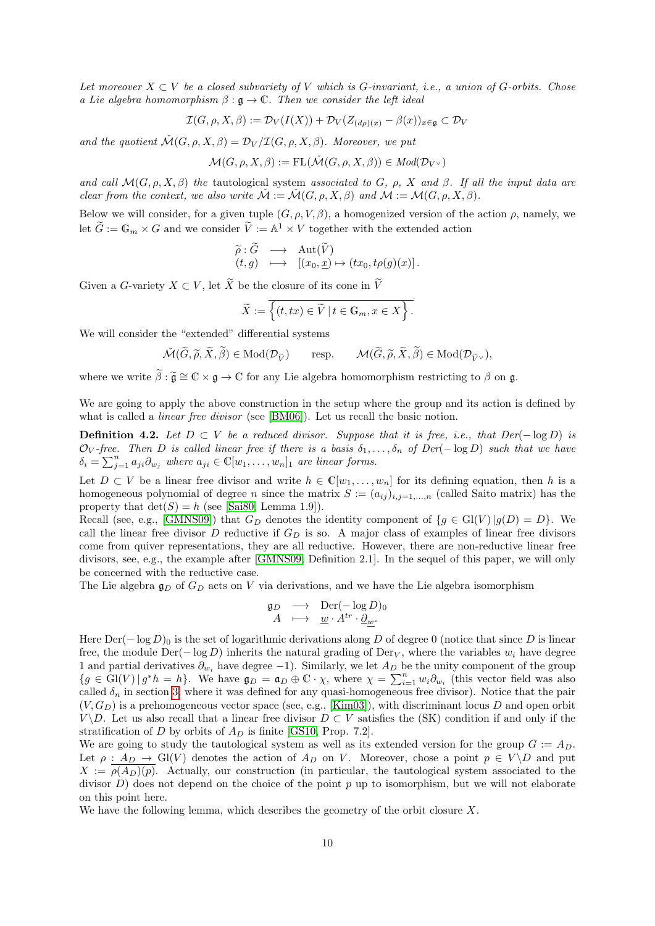Let moreover  $X \subset V$  be a closed subvariety of V which is G-invariant, i.e., a union of G-orbits. Chose a Lie algebra homomorphism  $\beta : \mathfrak{g} \to \mathbb{C}$ . Then we consider the left ideal

$$
\mathcal{I}(G,\rho,X,\beta) := \mathcal{D}_V(I(X)) + \mathcal{D}_V(Z_{(d\rho)(x)} - \beta(x))_{x \in \mathfrak{g}} \subset \mathcal{D}_V
$$

and the quotient  $\mathcal{M}(G, \rho, X, \beta) = \mathcal{D}_V / \mathcal{I}(G, \rho, X, \beta)$ . Moreover, we put

$$
\mathcal{M}(G,\rho,X,\beta):=\mathrm{FL}(\check{\mathcal{M}}(G,\rho,X,\beta))\in \mathit{Mod}(\mathcal{D}_{V^\vee})
$$

and call  $\mathcal{M}(G, \rho, X, \beta)$  the tautological system associated to G,  $\rho$ , X and  $\beta$ . If all the input data are clear from the context, we also write  $\check{M} := \check{M}(G, \rho, X, \beta)$  and  $M := \mathcal{M}(G, \rho, X, \beta)$ .

Below we will consider, for a given tuple  $(G, \rho, V, \beta)$ , a homogenized version of the action  $\rho$ , namely, we let  $\widetilde{G} := \mathbb{G}_m \times G$  and we consider  $\widetilde{V} := \mathbb{A}^1 \times V$  together with the extended action

$$
\widetilde{\rho}: \widetilde{G} \longrightarrow \text{Aut}(\widetilde{V}) (t,g) \longrightarrow [(x_0, \underline{x}) \mapsto (tx_0, t\rho(g)(x)].
$$

Given a G-variety  $X \subset V$ , let  $\widetilde{X}$  be the closure of its cone in  $\widetilde{V}$ 

$$
\widetilde{X} := \overline{\left\{ (t, tx) \in \widetilde{V} \mid t \in \mathbb{G}_m, x \in X \right\}}.
$$

We will consider the "extended" differential systems

$$
\check{\mathcal{M}}(\widetilde{G},\widetilde{\rho},\widetilde{X},\widetilde{\beta}) \in \mathrm{Mod}(\mathcal{D}_{\widetilde{V}}) \qquad \text{resp.} \qquad \mathcal{M}(\widetilde{G},\widetilde{\rho},\widetilde{X},\widetilde{\beta}) \in \mathrm{Mod}(\mathcal{D}_{\widetilde{V}^{\vee}}),
$$

where we write  $\tilde{\beta} : \tilde{\mathfrak{g}} \cong \mathbb{C} \times \mathfrak{g} \to \mathbb{C}$  for any Lie algebra homomorphism restricting to  $\beta$  on  $\mathfrak{g}$ .

We are going to apply the above construction in the setup where the group and its action is defined by what is called a *linear free divisor* (see [\[BM06\]](#page-21-2)). Let us recall the basic notion.

<span id="page-9-0"></span>**Definition 4.2.** Let  $D \subset V$  be a reduced divisor. Suppose that it is free, i.e., that  $Der(-\log D)$  is  $\mathcal{O}_V$ -free. Then D is called linear free if there is a basis  $\delta_1, \ldots, \delta_n$  of Der( $-\log D$ ) such that we have  $\delta_i = \sum_{j=1}^n a_{ji} \partial_{w_j}$  where  $a_{ji} \in \mathbb{C}[w_1, \dots, w_n]_1$  are linear forms.

Let  $D \subset V$  be a linear free divisor and write  $h \in \mathbb{C}[w_1,\ldots,w_n]$  for its defining equation, then h is a homogeneous polynomial of degree n since the matrix  $S := (a_{ij})_{i,j=1,\dots,n}$  (called Saito matrix) has the property that  $\det(S) = h$  (see [\[Sai80,](#page-23-2) Lemma 1.9]).

Recall (see, e.g., [\[GMNS09\]](#page-22-7)) that  $G_D$  denotes the identity component of  $\{g \in Gl(V) | g(D) = D\}$ . We call the linear free divisor D reductive if  $G_D$  is so. A major class of examples of linear free divisors come from quiver representations, they are all reductive. However, there are non-reductive linear free divisors, see, e.g., the example after [\[GMNS09,](#page-22-7) Definition 2.1]. In the sequel of this paper, we will only be concerned with the reductive case.

The Lie algebra  $\mathfrak{g}_D$  of  $G_D$  acts on V via derivations, and we have the Lie algebra isomorphism

$$
\mathfrak{g}_D \longrightarrow \text{Der}(-\log D)_0A \longmapsto \underline{w} \cdot A^{tr} \cdot \underline{\partial}_w.
$$

Here Der( $-\log D$ )<sub>0</sub> is the set of logarithmic derivations along D of degree 0 (notice that since D is linear free, the module  $\text{Der}(-\log D)$  inherits the natural grading of  $\text{Der}_V$ , where the variables  $w_i$  have degree 1 and partial derivatives  $\partial_{w_i}$  have degree -1). Similarly, we let  $A_D$  be the unity component of the group  ${g \in Gl(V) \mid g^*h = h}$ . We have  $\mathfrak{g}_D = \mathfrak{a}_D \oplus \mathbb{C} \cdot \chi$ , where  $\chi = \sum_{i=1}^n w_i \partial_{w_i}$  (this vector field was also called  $\delta_n$  in section [3,](#page-4-0) where it was defined for any quasi-homogeneous free divisor). Notice that the pair  $(V, G_D)$  is a prehomogeneous vector space (see, e.g., [\[Kim03\]](#page-22-16)), with discriminant locus D and open orbit  $V \ D$ . Let us also recall that a linear free divisor  $D \subset V$  satisfies the (SK) condition if and only if the stratification of D by orbits of  $A_D$  is finite [\[GS10,](#page-22-8) Prop. 7.2].

We are going to study the tautological system as well as its extended version for the group  $G := A_D$ . Let  $\rho : A_D \to Gl(V)$  denotes the action of  $A_D$  on V. Moreover, chose a point  $p \in V \backslash D$  and put  $X := \rho(A_D)(p)$ . Actually, our construction (in particular, the tautological system associated to the divisor  $D$ ) does not depend on the choice of the point p up to isomorphism, but we will not elaborate on this point here.

We have the following lemma, which describes the geometry of the orbit closure X.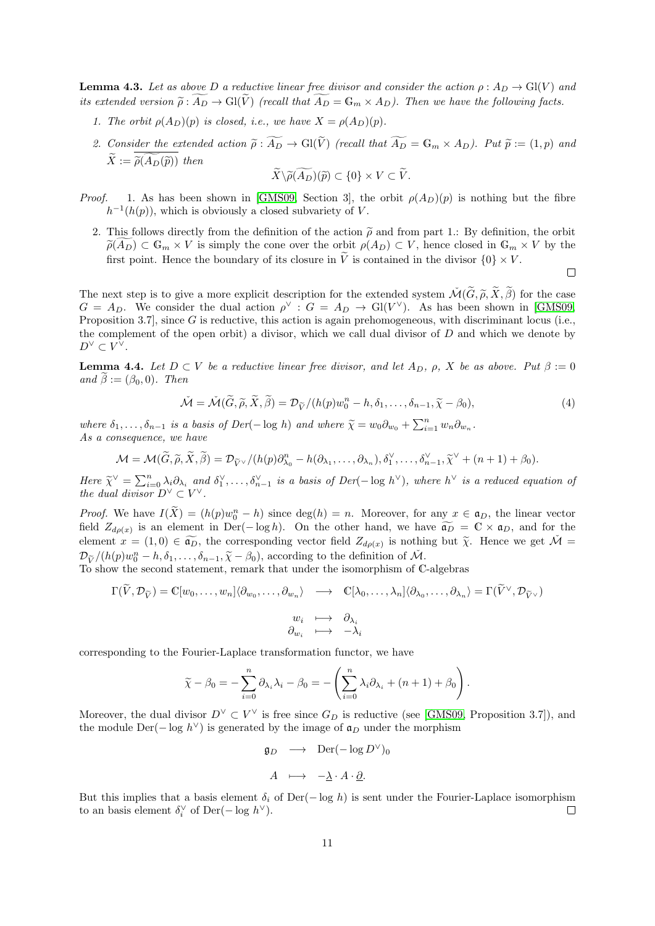<span id="page-10-1"></span>**Lemma 4.3.** Let as above D a reductive linear free divisor and consider the action  $\rho : A_D \to Gl(V)$  and its extended version  $\widetilde{\rho}: \widetilde{A_D} \to Gl(\widetilde{V})$  (recall that  $\widetilde{A_D} = \mathbb{G}_m \times A_D$ ). Then we have the following facts.

- 1. The orbit  $\rho(A_D)(p)$  is closed, i.e., we have  $X = \rho(A_D)(p)$ .
- 2. Consider the extended action  $\tilde{\rho}: \widetilde{A_D} \to Gl(\tilde{V})$  (recall that  $\widetilde{A_D} = \mathbb{G}_m \times A_D$ ). Put  $\tilde{p} := (1, p)$  and  $\widetilde{X} := \widetilde{\rho}(A_D(\widetilde{p}))$  then

$$
\widetilde{X}\backslash \widetilde{\rho(A_D)}(\widetilde{p})\subset \{0\}\times V\subset \widetilde{V}.
$$

- *Proof.* 1. As has been shown in [\[GMS09,](#page-22-14) Section 3], the orbit  $\rho(A_D)(p)$  is nothing but the fibre  $h^{-1}(h(p))$ , which is obviously a closed subvariety of V.
	- 2. This follows directly from the definition of the action  $\tilde{\rho}$  and from part 1.: By definition, the orbit  $\tilde{\rho}(A_D) \subset \mathbb{G}_m \times V$  is simply the cone over the orbit  $\rho(A_D) \subset V$ , hence closed in  $\mathbb{G}_m \times V$  by the first point. Hence the boundary of its closure in  $\tilde{V}$  is contained in the divisor  $\{0\} \times V$ .

The next step is to give a more explicit description for the extended system  $\mathcal{M}(\widetilde{G},\widetilde{\rho},\widetilde{X},\widetilde{\beta})$  for the case  $G = A_D$ . We consider the dual action  $\rho^{\vee}$  :  $G = A_D \rightarrow Gl(V^{\vee})$ . As has been shown in [\[GMS09,](#page-22-14) Proposition 3.7, since G is reductive, this action is again prehomogeneous, with discriminant locus (i.e., the complement of the open orbit) a divisor, which we call dual divisor of D and which we denote by  $D^{\vee} \subset V^{\vee}.$ 

<span id="page-10-0"></span>**Lemma 4.4.** Let  $D \subset V$  be a reductive linear free divisor, and let  $A_D$ ,  $\rho$ , X be as above. Put  $\beta := 0$ and  $\beta := (\beta_0, 0)$ . Then

<span id="page-10-2"></span>
$$
\check{\mathcal{M}} = \check{\mathcal{M}}(\widetilde{G}, \widetilde{\rho}, \widetilde{X}, \widetilde{\beta}) = \mathcal{D}_{\widetilde{V}}/(h(p)w_0^n - h, \delta_1, \dots, \delta_{n-1}, \widetilde{\chi} - \beta_0),\tag{4}
$$

where  $\delta_1, \ldots, \delta_{n-1}$  is a basis of  $Der(-\log h)$  and where  $\widetilde{\chi} = w_0 \partial_{w_0} + \sum_{i=1}^n w_n \partial_{w_n}$ . As a consequence, we have

$$
\mathcal{M} = \mathcal{M}(\widetilde{G}, \widetilde{\rho}, \widetilde{X}, \widetilde{\beta}) = \mathcal{D}_{\widetilde{V}^\vee}/(h(p)\partial_{\lambda_0}^n - h(\partial_{\lambda_1}, \dots, \partial_{\lambda_n}), \delta_1^\vee, \dots, \delta_{n-1}^\vee, \widetilde{\chi}^\vee + (n+1) + \beta_0).
$$

Here  $\widetilde{\chi}^{\vee} = \sum_{i=0}^{n} \lambda_i \partial_{\lambda_i}$  and  $\delta_1^{\vee}, \ldots, \delta_{n-1}^{\vee}$  is a basis of  $Der(-\log h^{\vee})$ , where  $h^{\vee}$  is a reduced equation of the dual divisor  $D^{\vee} \subset V^{\vee}$ .

*Proof.* We have  $I(\tilde{X}) = (h(p)w_0^n - h)$  since  $\deg(h) = n$ . Moreover, for any  $x \in \mathfrak{a}_D$ , the linear vector field  $Z_{d\rho(x)}$  is an element in Der(− log h). On the other hand, we have  $\widetilde{a_D} = \mathbb{C} \times \mathfrak{a}_D$ , and for the element  $x = (1,0) \in \widetilde{\mathfrak{a}_D}$ , the corresponding vector field  $Z_{d\rho(x)}$  is nothing but  $\widetilde{\chi}$ . Hence we get  $\widetilde{\mathcal{M}} = \mathfrak{D}_{\rho}(k(x))$ .  $\mathcal{D}_{\widetilde{V}}/(h(p)w_0^n-h,\delta_1,\ldots,\delta_{n-1},\widetilde{\chi}-\beta_0)$ , according to the definition of  $\widetilde{\mathcal{M}}$ .<br>To show the second statement, remark that under the isomorphism of C

To show the second statement, remark that under the isomorphism of C-algebras

$$
\Gamma(\widetilde{V}, \mathcal{D}_{\widetilde{V}}) = \mathbb{C}[w_0, \dots, w_n] \langle \partial_{w_0}, \dots, \partial_{w_n} \rangle \longrightarrow \mathbb{C}[\lambda_0, \dots, \lambda_n] \langle \partial_{\lambda_0}, \dots, \partial_{\lambda_n} \rangle = \Gamma(\widetilde{V}^{\vee}, \mathcal{D}_{\widetilde{V}^{\vee}})
$$

$$
w_i \longmapsto \partial_{\lambda_i}
$$

$$
\partial_{w_i} \longmapsto -\lambda_i
$$

corresponding to the Fourier-Laplace transformation functor, we have

$$
\widetilde{\chi} - \beta_0 = -\sum_{i=0}^n \partial_{\lambda_i} \lambda_i - \beta_0 = -\left(\sum_{i=0}^n \lambda_i \partial_{\lambda_i} + (n+1) + \beta_0\right).
$$

Moreover, the dual divisor  $D^{\vee} \subset V^{\vee}$  is free since  $G_D$  is reductive (see [\[GMS09,](#page-22-14) Proposition 3.7]), and the module Der( $-\log h^{\vee}$ ) is generated by the image of  $\mathfrak{a}_D$  under the morphism

$$
\mathfrak{g}_D \longrightarrow \operatorname{Der}(-\log D^{\vee})_0
$$

$$
A \longmapsto -\underline{\lambda} \cdot A \cdot \underline{\partial}.
$$

But this implies that a basis element  $\delta_i$  of Der(− log h) is sent under the Fourier-Laplace isomorphism to an basis element  $\delta_i^{\vee}$  of Der(- $\log h^{\vee}$ ).  $\Box$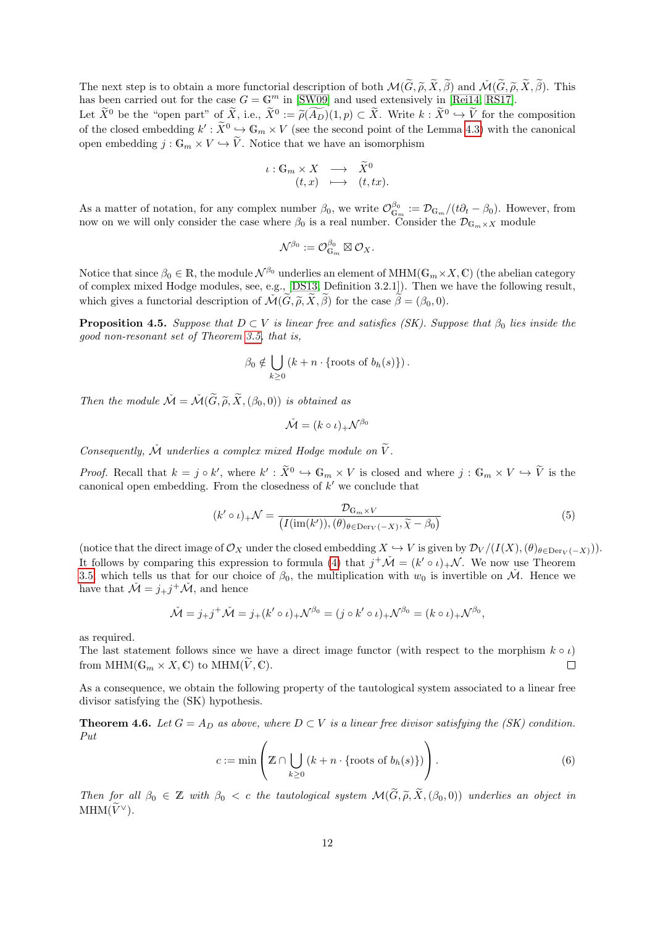The next step is to obtain a more functorial description of both  $\mathcal{M}(\widetilde{G}, \widetilde{\rho}, \widetilde{X}, \widetilde{\beta})$  and  $\mathcal{M}(\widetilde{G}, \widetilde{\rho}, \widetilde{X}, \widetilde{\beta})$ . This has been carried out for the case  $G = \mathbb{G}^m$  in [\[SW09\]](#page-23-3) and used extensively in [\[Rei14,](#page-22-9) [RS17\]](#page-23-1).

Let  $\tilde{X}^0$  be the "open part" of  $\tilde{X}$ , i.e.,  $\tilde{X}^0 := \tilde{\rho}(A_D)(1, p) \subset \tilde{X}$ . Write  $k : \tilde{X}^0 \to \tilde{V}$  for the composition of the closed embedding  $k' : \tilde{X}^0 \hookrightarrow \mathbb{G}_m \times V$  (see the second point of the Lemma [4.3\)](#page-10-1) with the canonical open embedding  $j : \mathbb{G}_m \times V \hookrightarrow \widetilde{V}$ . Notice that we have an isomorphism

$$
\iota: \mathbb{G}_m \times X \longrightarrow \widetilde{X}^0
$$
  

$$
(t, x) \longrightarrow (t, tx).
$$

As a matter of notation, for any complex number  $\beta_0$ , we write  $\mathcal{O}_{\mathbb{G}_m}^{\beta_0} := \mathcal{D}_{\mathbb{G}_m}/(t\partial_t - \beta_0)$ . However, from now on we will only consider the case where  $\beta_0$  is a real number. Consider the  $\mathcal{D}_{\mathbb{G}_m \times X}$  module

$$
\mathcal{N}^{\beta_0}:=\mathcal{O}_{\mathbb{G}_m}^{\beta_0}\boxtimes \mathcal{O}_X.
$$

Notice that since  $\beta_0 \in \mathbb{R}$ , the module  $\mathcal{N}^{\beta_0}$  underlies an element of MHM( $\mathbb{G}_m \times X$ , C) (the abelian category of complex mixed Hodge modules, see, e.g., [\[DS13,](#page-22-17) Definition 3.2.1]). Then we have the following result, which gives a functorial description of  $\check{\mathcal{M}}(\widetilde{G},\widetilde{\rho},\widetilde{X},\widetilde{\beta})$  for the case  $\widetilde{\beta}=(\beta_0,0)$ .

<span id="page-11-1"></span>**Proposition 4.5.** Suppose that  $D \subset V$  is linear free and satisfies (SK). Suppose that  $\beta_0$  lies inside the good non-resonant set of Theorem [3.5,](#page-7-1) that is,

$$
\beta_0 \notin \bigcup_{k \geq 0} \left( k + n \cdot \{ \text{roots of } b_h(s) \} \right).
$$

Then the module  $\check{\mathcal{M}} = \check{\mathcal{M}}(\widetilde{G}, \widetilde{\rho}, \widetilde{X}, (\beta_0, 0))$  is obtained as

$$
\check{\mathcal{M}} = (k \circ \iota)_+ \mathcal{N}^{\beta_0}
$$

Consequently,  $\check{\mathcal{M}}$  underlies a complex mixed Hodge module on  $\widetilde{V}$ .

*Proof.* Recall that  $k = j \circ k'$ , where  $k' : \tilde{X}^0 \hookrightarrow \mathbb{G}_m \times V$  is closed and where  $j : \mathbb{G}_m \times V \hookrightarrow \tilde{V}$  is the canonical open embedding. From the closedness of  $k'$  we conclude that

<span id="page-11-3"></span>
$$
(k' \circ \iota)_+ \mathcal{N} = \frac{\mathcal{D}_{\mathbb{G}_m \times V}}{(I(\text{im}(k')), (\theta)_{\theta \in \text{Der}_V(-X)}, \widetilde{\chi} - \beta_0)}
$$
(5)

(notice that the direct image of  $\mathcal{O}_X$  under the closed embedding  $X \hookrightarrow V$  is given by  $\mathcal{D}_V/(I(X),(\theta)_{\theta \in Der_V(-X)}).$ It follows by comparing this expression to formula [\(4\)](#page-10-2) that  $j^+\tilde{\mathcal{M}} = (k' \circ \iota)_+ \mathcal{N}$ . We now use Theorem [3.5,](#page-7-1) which tells us that for our choice of  $\beta_0$ , the multiplication with  $w_0$  is invertible on M. Hence we have that  $\check{\mathcal{M}} = j_+j^+\check{\mathcal{M}}$ , and hence

$$
\check{\mathcal{M}} = j_+ j^+ \check{\mathcal{M}} = j_+(k' \circ \iota)_+ \mathcal{N}^{\beta_0} = (j \circ k' \circ \iota)_+ \mathcal{N}^{\beta_0} = (k \circ \iota)_+ \mathcal{N}^{\beta_0},
$$

as required.

The last statement follows since we have a direct image functor (with respect to the morphism  $k \circ \iota$ ) from MHM( $\mathbb{G}_m \times X, \mathbb{C}$ ) to MHM( $\tilde{V}, \mathbb{C}$ ).  $\Box$ 

As a consequence, we obtain the following property of the tautological system associated to a linear free divisor satisfying the (SK) hypothesis.

<span id="page-11-0"></span>**Theorem 4.6.** Let  $G = A_D$  as above, where  $D \subset V$  is a linear free divisor satisfying the (SK) condition. Put

<span id="page-11-2"></span>
$$
c := \min\left(\mathbb{Z} \cap \bigcup_{k \ge 0} \left(k + n \cdot \{\text{roots of } b_h(s)\}\right)\right). \tag{6}
$$

Then for all  $\beta_0 \in \mathbb{Z}$  with  $\beta_0 < c$  the tautological system  $\mathcal{M}(\widetilde{G}, \widetilde{\rho}, \widetilde{X}, (\beta_0, 0))$  underlies an object in  $MHM(\widetilde{V}^{\vee}).$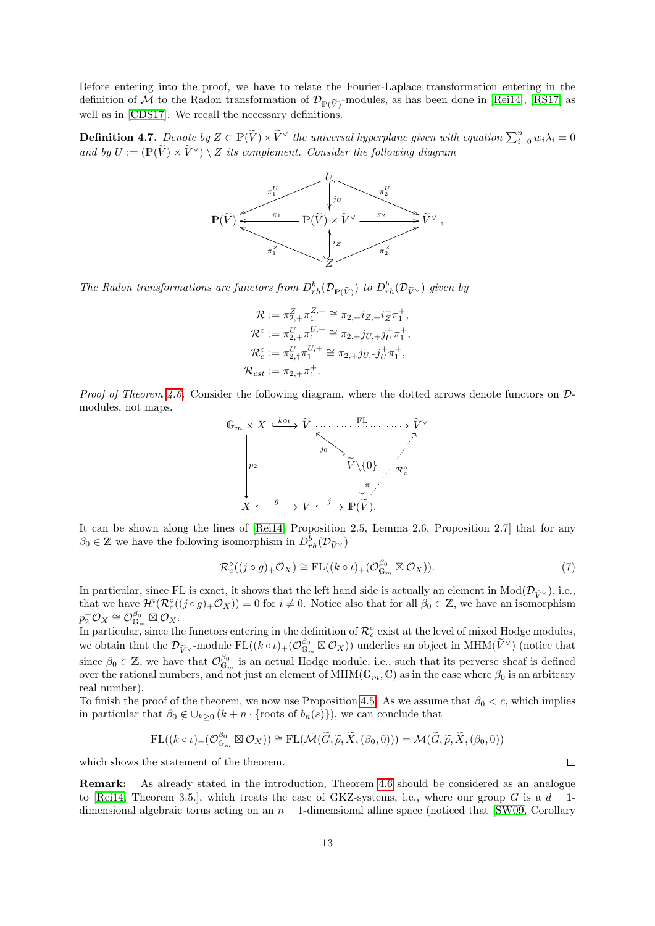Before entering into the proof, we have to relate the Fourier-Laplace transformation entering in the definition of M to the Radon transformation of  $\mathcal{D}_{\mathbb{P}(\tilde{V})}$ -modules, as has been done in [\[Rei14\]](#page-22-9), [\[RS17\]](#page-23-1) as well as in [\[CDS17\]](#page-21-5). We recall the necessary definitions.

**Definition 4.7.** Denote by  $Z \subset \mathbb{P}(\widetilde{V}) \times \widetilde{V}^{\vee}$  the universal hyperplane given with equation  $\sum_{i=0}^{n} w_i \lambda_i = 0$ and by  $U := (\mathbb{P}(\widetilde{V}) \times \widetilde{V}^{\vee}) \setminus Z$  its complement. Consider the following diagram



The Radon transformations are functors from  $D_{rh}^b(\mathcal{D}_{\mathbb{P}(\tilde{V})})$  to  $D_{rh}^b(\mathcal{D}_{\tilde{V}^{\vee}})$  given by

$$
\mathcal{R} := \pi_{2,+}^Z \pi_1^{Z,+} \cong \pi_{2,+} i_{Z,+} i_Z^+ \pi_1^+,
$$
  
\n
$$
\mathcal{R}^\circ := \pi_{2,+}^U \pi_1^{U,+} \cong \pi_{2,+} j_{U,+} j_U^+ \pi_1^+,
$$
  
\n
$$
\mathcal{R}_c^\circ := \pi_{2,+}^U \pi_1^{U,+} \cong \pi_{2,+} j_{U,+} j_U^+ \pi_1^+,
$$
  
\n
$$
\mathcal{R}_{cst} := \pi_{2,+} \pi_1^+.
$$

*Proof of Theorem [4.6.](#page-11-0)* Consider the following diagram, where the dotted arrows denote functors on  $\mathcal{D}$ modules, not maps.



It can be shown along the lines of [\[Rei14,](#page-22-9) Proposition 2.5, Lemma 2.6, Proposition 2.7] that for any  $\beta_0 \in \mathbb{Z}$  we have the following isomorphism in  $D_{rh}^b(\mathcal{D}_{\widetilde{V}^\vee})$ 

<span id="page-12-0"></span>
$$
\mathcal{R}_c^{\circ}((j \circ g)_+ \mathcal{O}_X) \cong \mathrm{FL}((k \circ \iota)_+ (\mathcal{O}_{\mathbb{G}_m}^{\beta_0} \boxtimes \mathcal{O}_X)). \tag{7}
$$

In particular, since FL is exact, it shows that the left hand side is actually an element in  $Mod(\mathcal{D}_{\tilde{V}^{\vee}})$ , i.e., that we have  $\mathcal{H}^i(\mathcal{R}_c^{\circ}((j \circ g)_+\mathcal{O}_X)) = 0$  for  $i \neq 0$ . Notice also that for all  $\beta_0 \in \mathbb{Z}$ , we have an isomorphism  $p_2^+ \mathcal{O}_X \cong \mathcal{O}_{\mathbb{G}_m}^{\beta_0} \boxtimes \mathcal{O}_X.$ 

In particular, since the functors entering in the definition of  $\mathcal{R}^\circ_c$  exist at the level of mixed Hodge modules, we obtain that the  $\mathcal{D}_{\widetilde{V}}$  -module  $FL((k \circ \iota)_+(\mathcal{O}_{\mathbb{G}_m}^{\beta_0} \boxtimes \mathcal{O}_X))$  underlies an object in MHM( $\widetilde{V}^{\vee}$ ) (notice that since  $\beta_0 \in \mathbb{Z}$ , we have that  $\mathcal{O}_{\mathbb{G}_m}^{\beta_0}$  is an actual Hodge module, i.e., such that its perverse sheaf is defined over the rational numbers, and not just an element of MHM( $\mathbb{G}_m$ ,  $\mathbb{C}$ ) as in the case where  $\beta_0$  is an arbitrary real number).

To finish the proof of the theorem, we now use Proposition [4.5.](#page-11-1) As we assume that  $\beta_0 < c$ , which implies in particular that  $\beta_0 \notin \bigcup_{k \geq 0} (k + n \cdot \{\text{roots of } b_h(s)\})$ , we can conclude that

$$
\mathrm{FL}((k \circ \iota)_+ (\mathcal{O}_{\mathbb{G}_m}^{\beta_0} \boxtimes \mathcal{O}_X)) \cong \mathrm{FL}(\check{\mathcal{M}}(\widetilde{G}, \widetilde{\rho}, \widetilde{X}, (\beta_0, 0))) = \mathcal{M}(\widetilde{G}, \widetilde{\rho}, \widetilde{X}, (\beta_0, 0))
$$

which shows the statement of the theorem.

Remark: As already stated in the introduction, Theorem [4.6](#page-11-0) should be considered as an analogue to [\[Rei14,](#page-22-9) Theorem 3.5.], which treats the case of GKZ-systems, i.e., where our group G is a  $d+1$ dimensional algebraic torus acting on an  $n + 1$ -dimensional affine space (noticed that [\[SW09,](#page-23-3) Corollary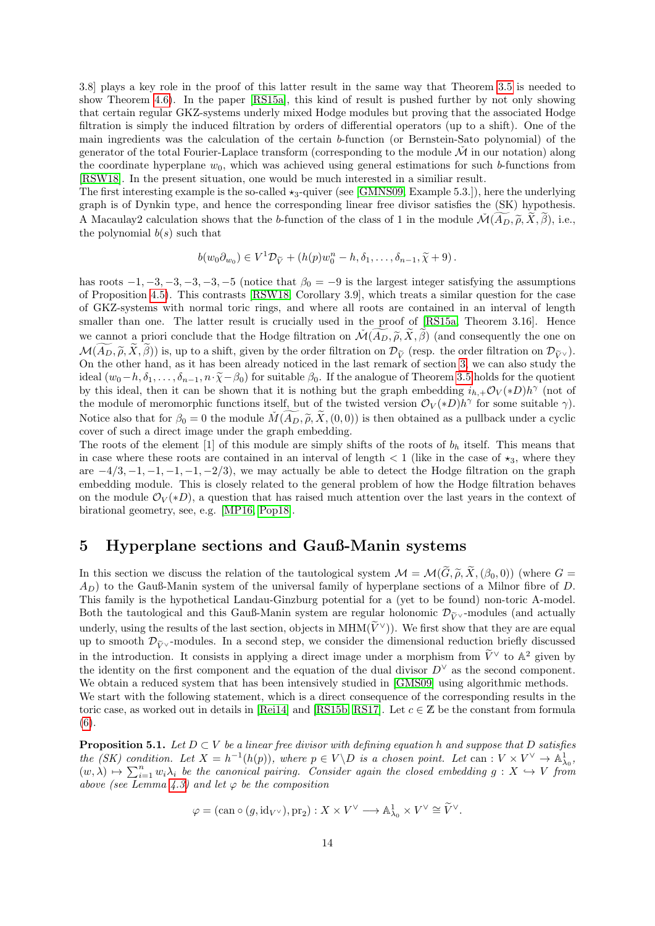3.8] plays a key role in the proof of this latter result in the same way that Theorem [3.5](#page-7-1) is needed to show Theorem [4.6\)](#page-11-0). In the paper [\[RS15a\]](#page-23-6), this kind of result is pushed further by not only showing that certain regular GKZ-systems underly mixed Hodge modules but proving that the associated Hodge filtration is simply the induced filtration by orders of differential operators (up to a shift). One of the main ingredients was the calculation of the certain b-function (or Bernstein-Sato polynomial) of the generator of the total Fourier-Laplace transform (corresponding to the module  $\dot{M}$  in our notation) along the coordinate hyperplane  $w_0$ , which was achieved using general estimations for such b-functions from [\[RSW18\]](#page-23-7). In the present situation, one would be much interested in a similiar result.

The first interesting example is the so-called  $\star_3$ -quiver (see [\[GMNS09,](#page-22-7) Example 5.3.]), here the underlying graph is of Dynkin type, and hence the corresponding linear free divisor satisfies the (SK) hypothesis. A Macaulay2 calculation shows that the b-function of the class of 1 in the module  $\mathcal{M}(A_D, \tilde{\rho}, X, \beta)$ , i.e., the polynomial  $b(s)$  such that

$$
b(w_0\partial_{w_0})\in V^1\mathcal{D}_{\widetilde{V}}+(h(p)w_0^n-h,\delta_1,\ldots,\delta_{n-1},\widetilde{\chi}+9).
$$

has roots  $-1, -3, -3, -3, -3, -5$  (notice that  $\beta_0 = -9$  is the largest integer satisfying the assumptions of Proposition [4.5\)](#page-11-1). This contrasts [\[RSW18,](#page-23-7) Corollary 3.9], which treats a similar question for the case of GKZ-systems with normal toric rings, and where all roots are contained in an interval of length smaller than one. The latter result is crucially used in the proof of [\[RS15a,](#page-23-6) Theorem 3.16]. Hence we cannot a priori conclude that the Hodge filtration on  $\mathcal{M}(A_D, \tilde{\rho}, \tilde{X}, \tilde{\beta})$  (and consequently the one on  $\mathcal{M}(\widetilde{A_D}, \widetilde{\rho}, \widetilde{X}, \widetilde{\beta})$ ) is, up to a shift, given by the order filtration on  $\mathcal{D}_{\widetilde{V}}$  (resp. the order filtration on  $\mathcal{D}_{\widetilde{V}^{\vee}}$ ). On the other hand, as it has been already noticed in the last remark of section [3,](#page-4-0) we can also study the ideal  $(w_0-h,\delta_1,\ldots,\delta_{n-1},n\cdot\tilde{\chi}-\beta_0)$  for suitable  $\beta_0$ . If the analogue of Theorem [3.5](#page-7-1) holds for the quotient by this ideal, then it can be shown that it is nothing but the graph embedding  $i_{h,+}\mathcal{O}_V(*D)h^{\gamma}$  (not of the module of meromorphic functions itself, but of the twisted version  $\mathcal{O}_V(*D)h^{\gamma}$  for some suitable  $\gamma$ ). Notice also that for  $\beta_0 = 0$  the module  $\check{M}(A_D, \tilde{\rho}, \tilde{X}, (0, 0))$  is then obtained as a pullback under a cyclic cover of such a direct image under the graph embedding.

The roots of the element [1] of this module are simply shifts of the roots of  $b<sub>h</sub>$  itself. This means that in case where these roots are contained in an interval of length  $\lt 1$  (like in the case of  $\star_3$ , where they are  $-4/3$ ,  $-1$ ,  $-1$ ,  $-1$ ,  $-1$ ,  $-2/3$ ), we may actually be able to detect the Hodge filtration on the graph embedding module. This is closely related to the general problem of how the Hodge filtration behaves on the module  $\mathcal{O}_V(*D)$ , a question that has raised much attention over the last years in the context of birational geometry, see, e.g. [\[MP16,](#page-22-18) [Pop18\]](#page-22-19).

## <span id="page-13-0"></span>5 Hyperplane sections and Gauß-Manin systems

In this section we discuss the relation of the tautological system  $\mathcal{M} = \mathcal{M}(\widetilde{G},\widetilde{\rho},\widetilde{X},(\beta_0,0))$  (where  $G =$  $A_D$ ) to the Gauß-Manin system of the universal family of hyperplane sections of a Milnor fibre of D. This family is the hypothetical Landau-Ginzburg potential for a (yet to be found) non-toric A-model. Both the tautological and this Gauß-Manin system are regular holonomic  $\mathcal{D}_{\tilde{V} \vee}$ -modules (and actually underly, using the results of the last section, objects in MHM( $\widetilde{V}^{\vee}$ )). We first show that they are are equal up to smooth  $\mathcal{D}_{\tilde{V}}$  -modules. In a second step, we consider the dimensional reduction briefly discussed in the introduction. It consists in applying a direct image under a morphism from  $\tilde{V}^{\vee}$  to  $\mathbb{A}^2$  given by the identity on the first component and the equation of the dual divisor  $D^{\vee}$  as the second component. We obtain a reduced system that has been intensively studied in [\[GMS09\]](#page-22-14) using algorithmic methods. We start with the following statement, which is a direct consequence of the corresponding results in the toric case, as worked out in details in [\[Rei14\]](#page-22-9) and [\[RS15b,](#page-23-0) [RS17\]](#page-23-1). Let  $c \in \mathbb{Z}$  be the constant from formula [\(6\)](#page-11-2).

<span id="page-13-1"></span>**Proposition 5.1.** Let  $D \subset V$  be a linear free divisor with defining equation h and suppose that D satisfies the (SK) condition. Let  $X = h^{-1}(h(p))$ , where  $p \in V \backslash D$  is a chosen point. Let can :  $V \times V^{\vee} \to \mathbb{A}^1_{\lambda_0}$ ,  $(w, \lambda) \mapsto \sum_{i=1}^n w_i \lambda_i$  be the canonical pairing. Consider again the closed embedding  $g: X \hookrightarrow V$  from above (see Lemma [4.3\)](#page-10-1) and let  $\varphi$  be the composition

$$
\varphi = (\operatorname{can} \circ (g, \operatorname{id}_{V^{\vee}}), \operatorname{pr}_2) : X \times V^{\vee} \longrightarrow \mathbb{A}^1_{\lambda_0} \times V^{\vee} \cong \widetilde{V}^{\vee}.
$$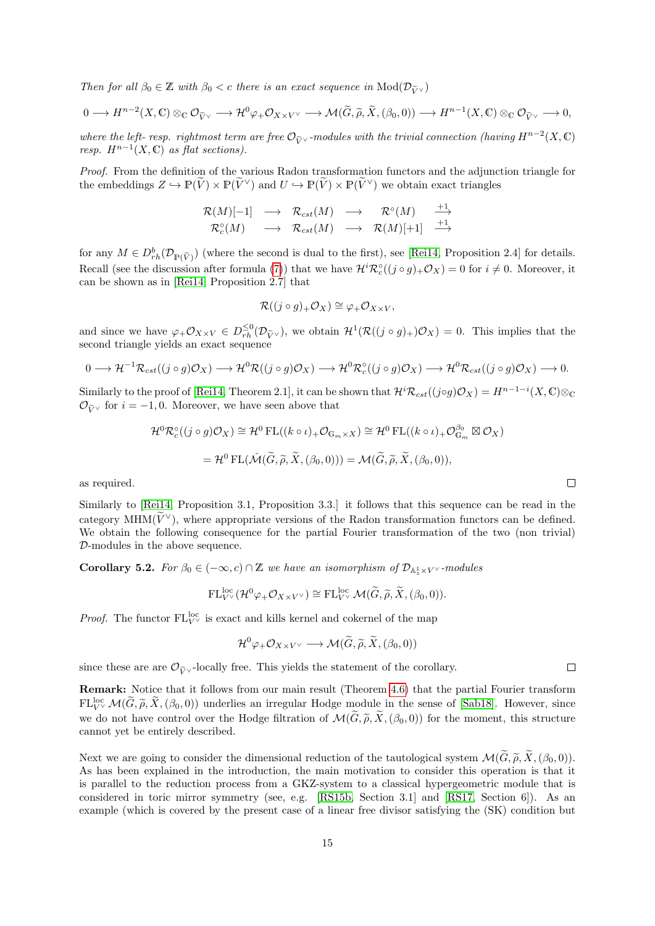Then for all  $\beta_0 \in \mathbb{Z}$  with  $\beta_0 < c$  there is an exact sequence in  $\text{Mod}(\mathcal{D}_{\widetilde{V}\vee})$ 

$$
0 \longrightarrow H^{n-2}(X,\mathbb{C}) \otimes_{\mathbb{C}} \mathcal{O}_{\widetilde{V}^{\vee}} \longrightarrow \mathcal{H}^{0} \varphi_{+} \mathcal{O}_{X \times V^{\vee}} \longrightarrow \mathcal{M}(\widetilde{G},\widetilde{\rho},\widetilde{X},(\beta_{0},0)) \longrightarrow H^{n-1}(X,\mathbb{C}) \otimes_{\mathbb{C}} \mathcal{O}_{\widetilde{V}^{\vee}} \longrightarrow 0,
$$

where the left- resp. rightmost term are free  $\mathcal{O}_{\widetilde{V}}$  -modules with the trivial connection (having  $H^{n-2}(X,\mathbb{C})$ ) resp.  $H^{n-1}(X,\mathbb{C})$  as flat sections).

Proof. From the definition of the various Radon transformation functors and the adjunction triangle for the embeddings  $Z \hookrightarrow \mathbb{P}(V) \times \mathbb{P}(V^{\vee})$  and  $U \hookrightarrow \mathbb{P}(V) \times \mathbb{P}(V^{\vee})$  we obtain exact triangles

$$
\begin{array}{ccc}{\mathcal R}(M)[-1]&\longrightarrow &{\mathcal R}_{cst}(M)&\longrightarrow &{\mathcal R}^{\circ}(M)&\stackrel{+1}{\longrightarrow}\\ {\mathcal R}_c^{\circ}(M)&\longrightarrow &{\mathcal R}_{cst}(M)&\longrightarrow &{\mathcal R}(M)[+1]&\stackrel{+1}{\longrightarrow}\\ \end{array}
$$

for any  $M \in D_{rh}^b(\mathcal{D}_{\mathbb{P}(\tilde{V})})$  (where the second is dual to the first), see [\[Rei14,](#page-22-9) Proposition 2.4] for details. Recall (see the discussion after formula [\(7\)](#page-12-0)) that we have  $\mathcal{H}^i \mathcal{R}^\circ_c((j \circ g)_+ \mathcal{O}_X) = 0$  for  $i \neq 0$ . Moreover, it can be shown as in [\[Rei14,](#page-22-9) Proposition 2.7] that

$$
\mathcal{R}((j \circ g)_+ \mathcal{O}_X) \cong \varphi_+ \mathcal{O}_{X \times V},
$$

and since we have  $\varphi_+ \mathcal{O}_{X \times V} \in D_{rh}^{\leq 0}(\mathcal{D}_{\tilde{V}^{\vee}})$ , we obtain  $\mathcal{H}^1(\mathcal{R}((j \circ g)_+) \mathcal{O}_X) = 0$ . This implies that the second triangle yields an exact sequence

$$
0 \longrightarrow \mathcal{H}^{-1}\mathcal{R}_{cst}((j \circ g)\mathcal{O}_X) \longrightarrow \mathcal{H}^0\mathcal{R}((j \circ g)\mathcal{O}_X) \longrightarrow \mathcal{H}^0\mathcal{R}_c^{\circ}((j \circ g)\mathcal{O}_X) \longrightarrow \mathcal{H}^0\mathcal{R}_{cst}((j \circ g)\mathcal{O}_X) \longrightarrow 0.
$$

Similarly to the proof of [\[Rei14,](#page-22-9) Theorem 2.1], it can be shown that  $\mathcal{H}^i\mathcal{R}_{cst}((j\circ g)\mathcal{O}_X) = H^{n-1-i}(X,\mathbb{C})\otimes_{\mathbb{C}}$  $\mathcal{O}_{\widetilde{V}}$  for  $i = -1, 0$ . Moreover, we have seen above that

$$
\mathcal{H}^{0}\mathcal{R}_{c}^{\circ}((j \circ g)\mathcal{O}_{X}) \cong \mathcal{H}^{0} \mathrm{FL}((k \circ \iota)_{+}\mathcal{O}_{\mathbb{G}_{m} \times X}) \cong \mathcal{H}^{0} \mathrm{FL}((k \circ \iota)_{+}\mathcal{O}_{\mathbb{G}_{m}}^{\beta_{0}} \boxtimes \mathcal{O}_{X})
$$

$$
= \mathcal{H}^{0} \mathrm{FL}(\check{\mathcal{M}}(\widetilde{G}, \widetilde{\rho}, \widetilde{X}, (\beta_{0}, 0))) = \mathcal{M}(\widetilde{G}, \widetilde{\rho}, \widetilde{X}, (\beta_{0}, 0)),
$$

as required.

Similarly to [\[Rei14,](#page-22-9) Proposition 3.1, Proposition 3.3.] it follows that this sequence can be read in the category MHM( $\tilde{V}^{\vee}$ ), where appropriate versions of the Radon transformation functors can be defined. We obtain the following consequence for the partial Fourier transformation of the two (non trivial) D-modules in the above sequence.

<span id="page-14-0"></span>**Corollary 5.2.** For  $\beta_0 \in (-\infty, c) \cap \mathbb{Z}$  we have an isomorphism of  $\mathcal{D}_{\mathbb{A}_z^1 \times V}$  modules

$$
\mathrm{FL}_{V^{\vee}}^{\mathrm{loc}}(\mathcal{H}^{0}\varphi_{+}\mathcal{O}_{X\times V^{\vee}})\cong \mathrm{FL}_{V^{\vee}}^{\mathrm{loc}}\mathcal{M}(\widetilde{G},\widetilde{\rho},\widetilde{X},(\beta_{0},0)).
$$

*Proof.* The functor  $FL_{V^{\vee}}^{loc}$  is exact and kills kernel and cokernel of the map

$$
\mathcal{H}^0\varphi_+\mathcal{O}_{X\times V^\vee}\longrightarrow \mathcal{M}(\widetilde{G},\widetilde{\rho},\widetilde{X},(\beta_0,0))
$$

since these are are  $\mathcal{O}_{\tilde{\nu}\vee}$ -locally free. This yields the statement of the corollary.

Remark: Notice that it follows from our main result (Theorem [4.6\)](#page-11-0) that the partial Fourier transform  $FL_{V}^{\text{loc}}\mathcal{M}(\widetilde{G},\widetilde{\rho},\widetilde{X},(\beta_0,0))$  underlies an irregular Hodge module in the sense of [\[Sab18\]](#page-23-8). However, since we do not have control over the Hodge filtration of  $\mathcal{M}(\widetilde{G},\widetilde{\rho},\widetilde{X},(\beta_0,0))$  for the moment, this structure cannot yet be entirely described.

Next we are going to consider the dimensional reduction of the tautological system  $\mathcal{M}(\widetilde{G}, \widetilde{\rho}, \widetilde{X}, (\beta_0, 0)).$ As has been explained in the introduction, the main motivation to consider this operation is that it is parallel to the reduction process from a GKZ-system to a classical hypergeometric module that is considered in toric mirror symmetry (see, e.g. [\[RS15b,](#page-23-0) Section 3.1] and [\[RS17,](#page-23-1) Section 6]). As an example (which is covered by the present case of a linear free divisor satisfying the (SK) condition but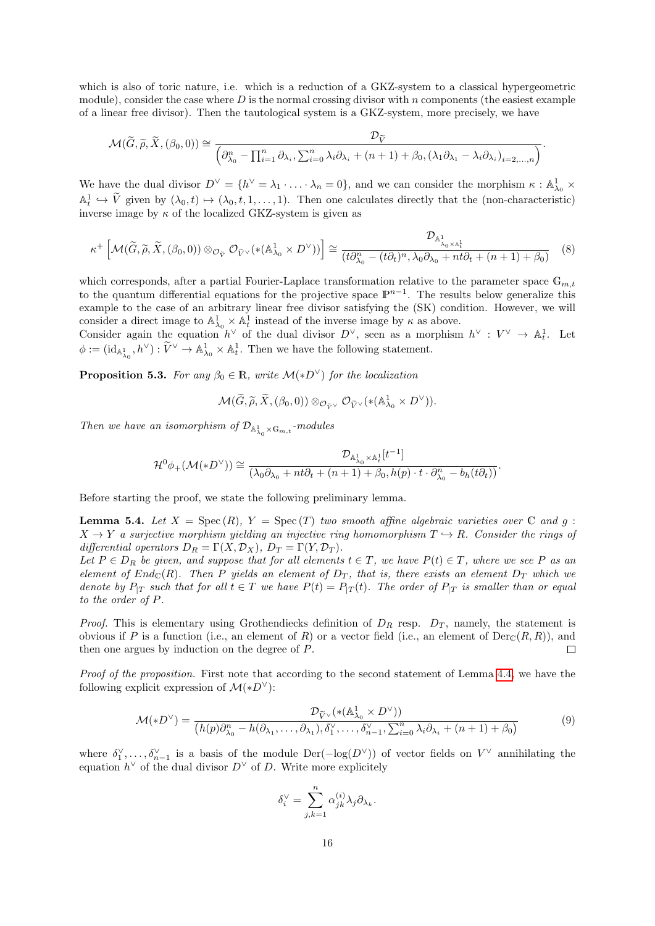which is also of toric nature, i.e. which is a reduction of a GKZ-system to a classical hypergeometric module), consider the case where  $D$  is the normal crossing divisor with n components (the easiest example of a linear free divisor). Then the tautological system is a GKZ-system, more precisely, we have

$$
\mathcal{M}(\widetilde{G},\widetilde{\rho},\widetilde{X},(\beta_0,0)) \cong \frac{\mathcal{D}_{\widetilde{V}}}{\left(\partial_{\lambda_0}^n - \prod_{i=1}^n \partial_{\lambda_i}, \sum_{i=0}^n \lambda_i \partial_{\lambda_i} + (n+1) + \beta_0, (\lambda_1 \partial_{\lambda_1} - \lambda_i \partial_{\lambda_i})_{i=2,\ldots,n}\right)}.
$$

We have the dual divisor  $D^{\vee} = \{h^{\vee} = \lambda_1 \cdot \ldots \cdot \lambda_n = 0\}$ , and we can consider the morphism  $\kappa : \mathbb{A}^1_{\lambda_0} \times$  $\mathbb{A}^1_t \hookrightarrow \widetilde{V}$  given by  $(\lambda_0, t) \mapsto (\lambda_0, t, 1, \dots, 1)$ . Then one calculates directly that the (non-characteristic) inverse image by  $\kappa$  of the localized GKZ-system is given as

<span id="page-15-0"></span>
$$
\kappa^+ \left[ \mathcal{M}(\widetilde{G}, \widetilde{\rho}, \widetilde{X}, (\beta_0, 0)) \otimes_{\mathcal{O}_{\widetilde{V}}} \mathcal{O}_{\widetilde{V}^{\vee}}(*({\mathbb A}^1_{\lambda_0} \times D^{\vee})) \right] \cong \frac{\mathcal{D}_{{\mathbb A}^1_{\lambda_0} \times {\mathbb A}^1_{\widetilde{t}}}}{(t \partial_{\lambda_0}^n - (t \partial_t)^n, \lambda_0 \partial_{\lambda_0} + nt \partial_t + (n+1) + \beta_0)}
$$
(8)

which corresponds, after a partial Fourier-Laplace transformation relative to the parameter space  $\mathbb{G}_{m,t}$ to the quantum differential equations for the projective space  $\mathbb{P}^{n-1}$ . The results below generalize this example to the case of an arbitrary linear free divisor satisfying the (SK) condition. However, we will consider a direct image to  $\mathbb{A}^1_{\lambda_0} \times \mathbb{A}^1_t$  instead of the inverse image by  $\kappa$  as above.

Consider again the equation  $h^{\vee}$  of the dual divisor  $D^{\vee}$ , seen as a morphism  $h^{\vee} : V^{\vee} \to \mathbb{A}^1_t$ . Let  $\phi := (\mathrm{id}_{\mathbb{A}^1_{\lambda_0}}, h^\vee) : \widetilde{V}^\vee \to \mathbb{A}^1_{\lambda_0} \times \mathbb{A}^1_t$ . Then we have the following statement.

<span id="page-15-2"></span>**Proposition 5.3.** For any  $\beta_0 \in \mathbb{R}$ , write  $\mathcal{M}(*D^{\vee})$  for the localization

$$
\mathcal{M}(\widetilde{G},\widetilde{\rho},\widetilde{X},(\beta_0,0))\otimes_{\mathcal{O}_{\widetilde{V}^\vee}}\mathcal{O}_{\widetilde{V}^\vee}(*({\mathbb A}^1_{\lambda_0}\times D^\vee)).
$$

Then we have an isomorphism of  $\mathcal{D}_{{\mathbb A}^1_{\lambda_0}\times {\mathbb G}_{m,t}}$ -modules

$$
\mathcal{H}^0\phi_+(\mathcal{M}(*D^\vee))\cong\frac{\mathcal{D}_{{\mathbb A}^1_{\lambda_0}\times{\mathbb A}^1_t}[t^{-1}]}{(\lambda_0\partial_{\lambda_0}+nt\partial_t+(n+1)+\beta_0,h(p)\cdot t\cdot\partial^n_{\lambda_0}-b_h(t\partial_t))}.
$$

Before starting the proof, we state the following preliminary lemma.

<span id="page-15-1"></span>**Lemma 5.4.** Let  $X = \text{Spec}(R)$ ,  $Y = \text{Spec}(T)$  two smooth affine algebraic varieties over  $\mathbb C$  and  $q$ :  $X \to Y$  a surjective morphism yielding an injective ring homomorphism  $T \to R$ . Consider the rings of differential operators  $D_R = \Gamma(X, \mathcal{D}_X)$ ,  $D_T = \Gamma(Y, \mathcal{D}_T)$ .

Let  $P \in D_R$  be given, and suppose that for all elements  $t \in T$ , we have  $P(t) \in T$ , where we see P as an element of End<sub>C</sub>(R). Then P yields an element of  $D_T$ , that is, there exists an element  $D_T$  which we denote by  $P_{T}$  such that for all  $t \in T$  we have  $P(t) = P_{T}(t)$ . The order of  $P_{T}$  is smaller than or equal to the order of P.

*Proof.* This is elementary using Grothendiecks definition of  $D_R$  resp.  $D_T$ , namely, the statement is obvious if P is a function (i.e., an element of R) or a vector field (i.e., an element of  $Der_{\mathbb{C}}(R,R)$ ), and then one argues by induction on the degree of P.  $\Box$ 

Proof of the proposition. First note that according to the second statement of Lemma [4.4,](#page-10-0) we have the following explicit expression of  $\mathcal{M}(*D^{\vee})$ :

$$
\mathcal{M}(*D^{\vee}) = \frac{\mathcal{D}_{\widetilde{V}^{\vee}}(*({\mathbb{A}}^{1}_{\lambda_{0}} \times D^{\vee}))}{(h(p)\partial_{\lambda_{0}}^{n} - h(\partial_{\lambda_{1}},\ldots,\partial_{\lambda_{1}}), \delta_{1}^{\vee},\ldots,\delta_{n-1}^{\vee},\sum_{i=0}^{n} \lambda_{i}\partial_{\lambda_{i}} + (n+1) + \beta_{0})}
$$
(9)

where  $\delta_1^{\vee}, \ldots, \delta_{n-1}^{\vee}$  is a basis of the module  $\text{Der}(-\log(D^{\vee}))$  of vector fields on  $V^{\vee}$  annihilating the equation  $h^{\vee}$  of the dual divisor  $D^{\vee}$  of D. Write more explicitely

$$
\delta_i^\vee = \sum_{j,k=1}^n \alpha_{jk}^{(i)} \lambda_j \partial_{\lambda_k}.
$$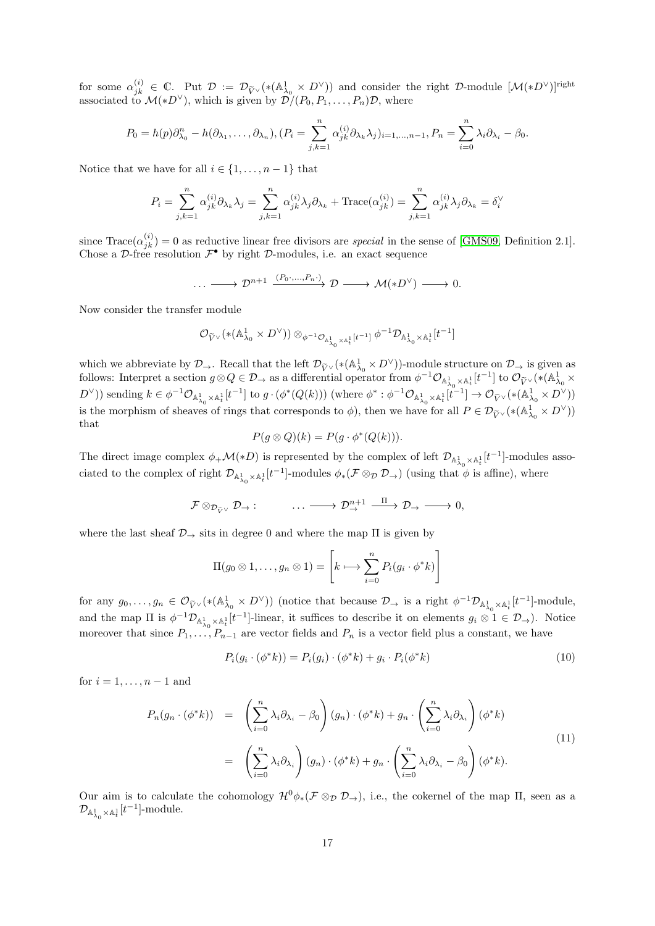for some  $\alpha_{jk}^{(i)} \in \mathbb{C}$ . Put  $\mathcal{D} := \mathcal{D}_{\widetilde{V}^{\vee}}(*({\mathbb{A}}_{\lambda_0}^1 \times D^{\vee}))$  and consider the right  $\mathcal{D}$ -module  $[\mathcal{M}(*D^{\vee})]^{right}$ associated to  $\mathcal{M}(*D^{\vee})$ , which is given by  $\mathcal{D}/(P_0, P_1, \ldots, P_n)\mathcal{D}$ , where

$$
P_0 = h(p)\partial_{\lambda_0}^n - h(\partial_{\lambda_1}, \dots, \partial_{\lambda_n}), (P_i = \sum_{j,k=1}^n \alpha_{jk}^{(i)} \partial_{\lambda_k} \lambda_j)_{i=1,\dots,n-1}, P_n = \sum_{i=0}^n \lambda_i \partial_{\lambda_i} - \beta_0.
$$

Notice that we have for all  $i \in \{1, \ldots, n-1\}$  that

$$
P_i = \sum_{j,k=1}^n \alpha_{jk}^{(i)} \partial_{\lambda_k} \lambda_j = \sum_{j,k=1}^n \alpha_{jk}^{(i)} \lambda_j \partial_{\lambda_k} + \text{Trace}(\alpha_{jk}^{(i)}) = \sum_{j,k=1}^n \alpha_{jk}^{(i)} \lambda_j \partial_{\lambda_k} = \delta_i^{\vee}
$$

since  $\text{Trace}(\alpha_{jk}^{(i)})=0$  as reductive linear free divisors are *special* in the sense of [\[GMS09,](#page-22-14) Definition 2.1]. Chose a  $\mathcal{D}$ -free resolution  $\mathcal{F}^{\bullet}$  by right  $\mathcal{D}$ -modules, i.e. an exact sequence

$$
\cdots \longrightarrow \mathcal{D}^{n+1} \xrightarrow{(P_0 \cdot \ldots \cdot P_n \cdot)} \mathcal{D} \longrightarrow \mathcal{M}(\ast D^{\vee}) \longrightarrow 0.
$$

Now consider the transfer module

$$
\mathcal{O}_{\widetilde{V}^\vee}(*({\mathbb A}^1_{\lambda_0}\times D^\vee))\otimes_{\phi^{-1}\mathcal{O}_{{\mathbb A}^1_{\lambda_0}\times {\mathbb A}^1_t}[t^{-1}]}\phi^{-1}\mathcal{D}_{{\mathbb A}^1_{\lambda_0}\times {\mathbb A}^1_t}[t^{-1}]
$$

which we abbreviate by  $\mathcal{D}_{\rightarrow}$ . Recall that the left  $\mathcal{D}_{\tilde{V}}(\ast (\mathbb{A}_{\lambda_0}^1 \times D^{\vee}))$ -module structure on  $\mathcal{D}_{\rightarrow}$  is given as follows: Interpret a section  $g \otimes Q \in \mathcal{D}$ , as a differential operator from  $\phi^{-1} \mathcal{O}_{\mathbb{A}^1_{\lambda_0} \times \mathbb{A}^1_t}[t^{-1}]$  to  $\mathcal{O}_{\widetilde{V}^{\vee}}(*(\mathbb{A}^1_{\lambda_0} \times$  $(D^{\vee})$  sending  $k \in \phi^{-1} \mathcal{O}_{\mathbb{A}^1_{\lambda_0} \times \mathbb{A}^1_t}[t^{-1}]$  to  $g \cdot (\phi^*(Q(k)))$  (where  $\phi^* : \phi^{-1} \mathcal{O}_{\mathbb{A}^1_{\lambda_0} \times \mathbb{A}^1_t}[t^{-1}] \to \mathcal{O}_{\widetilde{V}^{\vee}}(*(\mathbb{A}^1_{\lambda_0} \times D^{\vee}))$ is the morphism of sheaves of rings that corresponds to  $\phi$ ), then we have for all  $P \in \mathcal{D}_{\widetilde{V}}(\ast (\mathbb{A}^1_{\lambda_0} \times D^{\vee}))$ that

$$
P(g \otimes Q)(k) = P(g \cdot \phi^*(Q(k))).
$$

The direct image complex  $\phi_+\mathcal{M}(*D)$  is represented by the complex of left  $\mathcal{D}_{\mathbb{A}^1_{\lambda_0}\times\mathbb{A}^1_t}[t^{-1}]$ -modules associated to the complex of right  $\mathcal{D}_{\mathbb{A}^1_{\lambda_0}\times\mathbb{A}^1_t}[t^{-1}]$ -modules  $\phi_*(\mathcal{F}\otimes_{\mathcal{D}}\mathcal{D}_\rightarrow)$  (using that  $\phi$  is affine), where

$$
\mathcal{F} \otimes_{\mathcal{D}_{\widetilde{V}} \vee} \mathcal{D}_{\to} : \qquad \qquad \ldots \longrightarrow \mathcal{D}_{\to}^{n+1} \xrightarrow{\Pi} \mathcal{D}_{\to} \longrightarrow 0,
$$

where the last sheaf  $\mathcal{D}_{\rightarrow}$  sits in degree 0 and where the map  $\Pi$  is given by

$$
\Pi(g_0 \otimes 1, \ldots, g_n \otimes 1) = \left[ k \longmapsto \sum_{i=0}^n P_i(g_i \cdot \phi^* k) \right]
$$

for any  $g_0, \ldots, g_n \in \mathcal{O}_{\widetilde{V}} \vee (*(\mathbb{A}^1_{\lambda_0} \times D^{\vee}))$  (notice that because  $\mathcal{D}_{\rightarrow}$  is a right  $\phi^{-1} \mathcal{D}_{\mathbb{A}^1_{\lambda_0} \times \mathbb{A}^1_t}[t^{-1}]$ -module, and the map  $\Pi$  is  $\phi^{-1} \mathcal{D}_{\mathbb{A}^1_{\lambda_0} \times \mathbb{A}^1_t} [t^{-1}]$ -linear, it suffices to describe it on elements  $g_i \otimes 1 \in \mathcal{D}_{\to}$ ). Notice moreover that since  $P_1, \ldots, P_{n-1}$  are vector fields and  $P_n$  is a vector field plus a constant, we have

<span id="page-16-0"></span>
$$
P_i(g_i \cdot (\phi^* k)) = P_i(g_i) \cdot (\phi^* k) + g_i \cdot P_i(\phi^* k)
$$
\n(10)

for  $i = 1, \ldots, n-1$  and

<span id="page-16-1"></span>
$$
P_n(g_n \cdot (\phi^*k)) = \left(\sum_{i=0}^n \lambda_i \partial_{\lambda_i} - \beta_0\right)(g_n) \cdot (\phi^*k) + g_n \cdot \left(\sum_{i=0}^n \lambda_i \partial_{\lambda_i}\right)(\phi^*k)
$$
  

$$
= \left(\sum_{i=0}^n \lambda_i \partial_{\lambda_i}\right)(g_n) \cdot (\phi^*k) + g_n \cdot \left(\sum_{i=0}^n \lambda_i \partial_{\lambda_i} - \beta_0\right)(\phi^*k).
$$
 (11)

Our aim is to calculate the cohomology  $\mathcal{H}^0\phi_*(\mathcal{F}\otimes_{\mathcal{D}} \mathcal{D}_-),$  i.e., the cokernel of the map  $\Pi$ , seen as a  $\mathcal{D}_{{\mathbb A}^1_{\lambda_0}\times{\mathbb A}^1_t}[t^{-1}]$ -module.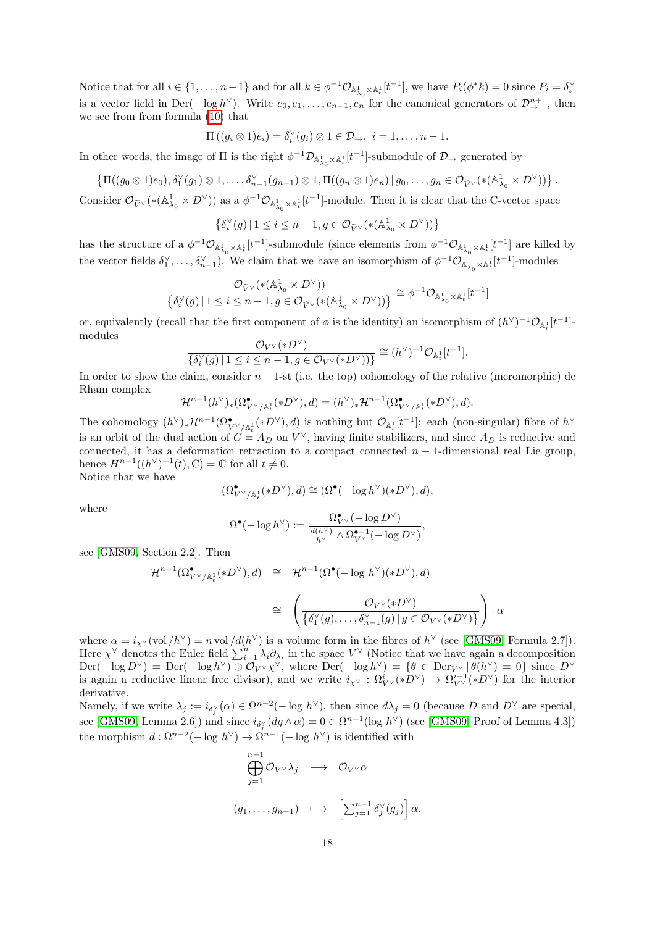Notice that for all  $i \in \{1, ..., n-1\}$  and for all  $k \in \phi^{-1} \mathcal{O}_{\mathbb{A}^1_{\lambda_0} \times \mathbb{A}^1_t}[t^{-1}]$ , we have  $P_i(\phi^* k) = 0$  since  $P_i = \delta_i^{\vee}$ is a vector field in Der( $-\log h^{\vee}$ ). Write  $e_0, e_1, \ldots, e_{n-1}, e_n$  for the canonical generators of  $\mathcal{D}^{n+1}_{\to}$ , then we see from from formula [\(10\)](#page-16-0) that

$$
\Pi((g_i \otimes 1)e_i) = \delta_i^{\vee}(g_i) \otimes 1 \in \mathcal{D}_{\rightarrow}, i = 1, \ldots, n-1.
$$

In other words, the image of  $\Pi$  is the right  $\phi^{-1} \mathcal{D}_{\mathbb{A}^1_{\lambda_0} \times \mathbb{A}^1_t} [t^{-1}]$ -submodule of  $\mathcal{D}_{\to}$  generated by

$$
\left\{\Pi((g_0\otimes 1)e_0), \delta_1^{\vee}(g_1)\otimes 1,\ldots,\delta_{n-1}^{\vee}(g_{n-1})\otimes 1,\Pi((g_n\otimes 1)e_n)\,|\,g_0,\ldots,g_n\in\mathcal{O}_{\widetilde{V}^{\vee}}(*({\mathbb A}_{\lambda_0}^1\times D^{\vee}))\right\}.
$$

Consider  $\mathcal{O}_{\widetilde{V}}(\ast(\mathbb{A}^1_{\lambda_0}\times D^{\vee}))$  as a  $\phi^{-1}\mathcal{O}_{\mathbb{A}^1_{\lambda_0}\times\mathbb{A}^1_t}[t^{-1}]$ -module. Then it is clear that the C-vector space

$$
\left\{ \delta_i^{\vee}(g) \, | \, 1 \le i \le n-1, g \in \mathcal{O}_{\widetilde{V}^{\vee}}(*({\mathbb A}_{\lambda_0}^1 \times D^{\vee})) \right\}
$$

has the structure of a  $\phi^{-1}\mathcal{O}_{\mathbb{A}^1_{\lambda_0}\times\mathbb{A}^1_t}[t^{-1}]$ -submodule (since elements from  $\phi^{-1}\mathcal{O}_{\mathbb{A}^1_{\lambda_0}\times\mathbb{A}^1_t}[t^{-1}]$  are killed by the vector fields  $\delta_1^{\vee}, \ldots, \delta_{n-1}^{\vee}$ ). We claim that we have an isomorphism of  $\phi^{-1}\mathcal{O}_{\mathbb{A}^1_{\lambda_0}\times\mathbb{A}^1_t}[t^{-1}]$ -modules

$$
\frac{\mathcal{O}_{\widetilde{V}^\vee}(*({\mathbb A}^1_{\lambda_0}\times D^\vee))}{\left\{\delta_i^\vee(g)\,|\, 1\leq i\leq n-1, g\in \mathcal{O}_{\widetilde{V}^\vee}(*({\mathbb A}^1_{\lambda_0}\times D^\vee))\right\}}\cong \phi^{-1}\mathcal{O}_{{\mathbb A}^1_{\lambda_0}\times {\mathbb A}^1_t}[t^{-1}]
$$

or, equivalently (recall that the first component of  $\phi$  is the identity) an isomorphism of  $(h^{\vee})^{-1} \mathcal{O}_{\mathbb{A}^1_t}[t^{-1}]$ modules  $\langle \cdot, D \vee \rangle$ 

$$
\frac{C_{V^\vee}(*D^\vee)}{\{\delta_i^\vee(g)\,|\,1\leq i\leq n-1,g\in\mathcal{O}_{V^\vee}(*D^\vee))\}}\cong (h^\vee)^{-1}\mathcal{O}_{\mathbb{A}_t^1}[t^{-1}].
$$

In order to show the claim, consider  $n-1$ -st (i.e. the top) cohomology of the relative (meromorphic) de Rham complex

$$
\mathcal{H}^{n-1}(h^{\vee})_{*}(\Omega^{\bullet}_{V^{\vee}/\mathbb{A}^{1}_{t}}(*D^{\vee}),d)=(h^{\vee})_{*}\mathcal{H}^{n-1}(\Omega^{\bullet}_{V^{\vee}/\mathbb{A}^{1}_{t}}(*D^{\vee}),d).
$$

The cohomology  $(h^{\vee})_*\mathcal{H}^{n-1}(\Omega^{\bullet}_{V^{\vee}/\mathbb{A}^1_*}(*D^{\vee}),d)$  is nothing but  $\mathcal{O}_{\mathbb{A}^1_t}[t^{-1}]$ : each (non-singular) fibre of  $h^{\vee}$ is an orbit of the dual action of  $G = A_D$  on  $V^{\vee}$ , having finite stabilizers, and since  $A_D$  is reductive and connected, it has a deformation retraction to a compact connected  $n-1$ -dimensional real Lie group, hence  $H^{n-1}((h^{\vee})^{-1}(t), \mathbb{C}) = \mathbb{C}$  for all  $t \neq 0$ .

Notice that we have

$$
(\Omega^{\bullet}_{V^{\vee}/\mathbb{A}^1_t}(*D^{\vee}),d)\cong (\Omega^{\bullet}(-\log h^{\vee})(*D^{\vee}),d),
$$

where

$$
\Omega^\bullet(-\log h^\vee):=\frac{\Omega^\bullet_{V^\vee}(-\log D^\vee)}{\frac{d(h^\vee)}{h^\vee}\wedge \Omega^{\bullet-1}_{V^\vee}(-\log D^\vee)},
$$

see [\[GMS09,](#page-22-14) Section 2.2]. Then

$$
\mathcal{H}^{n-1}(\Omega^{\bullet}_{V^{\vee}/\mathbb{A}^1_t}(*D^{\vee}),d) \cong \mathcal{H}^{n-1}(\Omega^{\bullet}(-\log h^{\vee})(*D^{\vee}),d)
$$

$$
\cong \left(\frac{\mathcal{O}_{V^{\vee}}(*D^{\vee})}{\{\delta_1^{\vee}(g),\ldots,\delta_{n-1}^{\vee}(g) \mid g \in \mathcal{O}_{V^{\vee}}(*D^{\vee})\}}\right) \cdot \alpha
$$

where  $\alpha = i_{\chi^{\vee}}(\text{vol}/h^{\vee}) = n \text{ vol}/d(h^{\vee})$  is a volume form in the fibres of  $h^{\vee}$  (see [\[GMS09,](#page-22-14) Formula 2.7]). Here  $\chi^{\vee}$  denotes the Euler field  $\sum_{i=1}^{n} \lambda_i \partial_{\lambda_i}$  in the space  $V^{\vee}$  (Notice that we have again a decomposition  $\text{Der}(-\log D^{\vee}) = \text{Der}(-\log h^{\vee}) \oplus \mathcal{O}_{V} \times \chi^{\vee}$ , where  $\text{Der}(-\log h^{\vee}) = {\theta \in \text{Der}_{V} \setminus [\theta(h^{\vee}) = 0]}$  since  $D^{\vee}$ is again a reductive linear free divisor), and we write  $i_{\chi}$  :  $\Omega^i_{V}(\ast D^{\vee}) \to \Omega^{i-1}_{V}(\ast D^{\vee})$  for the interior derivative.

Namely, if we write  $\lambda_j := i_{\delta_j^{\vee}}(\alpha) \in \Omega^{n-2}(-\log h^{\vee})$ , then since  $d\lambda_j = 0$  (because D and  $D^{\vee}$  are special, see [\[GMS09,](#page-22-14) Lemma 2.6]) and since  $i_{\delta_j^{\vee}}(dg \wedge \alpha) = 0 \in \Omega^{n-1}(\log h^{\vee})$  (see [GMS09, Proof of Lemma 4.3]) the morphism  $d : \Omega^{n-2}(-\log h^{\vee}) \to \Omega^{n-1}(-\log h^{\vee})$  is identified with

$$
\bigoplus_{j=1}^{n-1} \mathcal{O}_{V^{\vee}} \lambda_j \longrightarrow \mathcal{O}_{V^{\vee}} \alpha
$$
  

$$
(g_1, \dots, g_{n-1}) \longmapsto \left[\sum_{j=1}^{n-1} \delta_j^{\vee}(g_j)\right] \alpha.
$$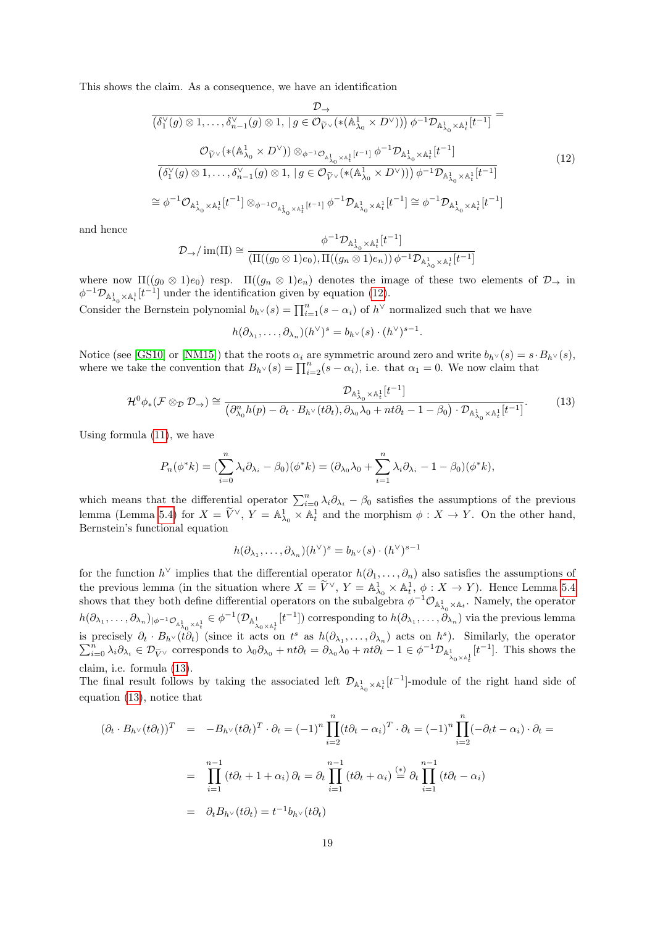This shows the claim. As a consequence, we have an identification

<span id="page-18-0"></span>
$$
\frac{\mathcal{D}_{\rightarrow}}{(\delta_{1}^{\vee}(g)\otimes 1,\ldots,\delta_{n-1}^{\vee}(g)\otimes 1, |g \in \mathcal{O}_{\tilde{V}^{\vee}}(*(\mathbb{A}_{\lambda_{0}}^{1} \times D^{\vee})))\,\phi^{-1}\mathcal{D}_{\mathbb{A}_{\lambda_{0}}^{1} \times \mathbb{A}_{t}^{1}}[t^{-1}]} =
$$
\n
$$
\frac{\mathcal{O}_{\tilde{V}^{\vee}}(*(\mathbb{A}_{\lambda_{0}}^{1} \times D^{\vee}))\otimes_{\phi^{-1}\mathcal{O}_{\mathbb{A}_{\lambda_{0}}^{1} \times \mathbb{A}_{t}^{1}}[t^{-1}]}\phi^{-1}\mathcal{D}_{\mathbb{A}_{\lambda_{0}}^{1} \times \mathbb{A}_{t}^{1}}[t^{-1}]}{(\delta_{1}^{\vee}(g)\otimes 1,\ldots,\delta_{n-1}^{\vee}(g)\otimes 1, |g \in \mathcal{O}_{\tilde{V}^{\vee}}(*(\mathbb{A}_{\lambda_{0}}^{1} \times D^{\vee})))\,\phi^{-1}\mathcal{D}_{\mathbb{A}_{\lambda_{0}}^{1} \times \mathbb{A}_{t}^{1}}[t^{-1}]}
$$
\n
$$
\cong \phi^{-1}\mathcal{O}_{\mathbb{A}_{\lambda_{0}}^{1} \times \mathbb{A}_{t}^{1}}[t^{-1}]\otimes_{\phi^{-1}\mathcal{O}_{\mathbb{A}_{\lambda_{0}}^{1} \times \mathbb{A}_{t}^{1}}[t^{-1}]}\phi^{-1}\mathcal{D}_{\mathbb{A}_{\lambda_{0}}^{1} \times \mathbb{A}_{t}^{1}}[t^{-1}] \cong \phi^{-1}\mathcal{D}_{\mathbb{A}_{\lambda_{0}}^{1} \times \mathbb{A}_{t}^{1}}[t^{-1}]
$$
\n
$$
(12)
$$

and hence

$$
\mathcal{D}_{\rightarrow}/\operatorname{im}(\Pi) \cong \frac{\phi^{-1} \mathcal{D}_{\mathbb{A}^1_{\lambda_0} \times \mathbb{A}^1_t}[t^{-1}]}{(\Pi((g_0 \otimes 1)e_0), \Pi((g_n \otimes 1)e_n)) \phi^{-1} \mathcal{D}_{\mathbb{A}^1_{\lambda_0} \times \mathbb{A}^1_t}[t^{-1}]}
$$

where now  $\Pi((g_0 \otimes 1)e_0)$  resp.  $\Pi((g_n \otimes 1)e_n)$  denotes the image of these two elements of  $\mathcal{D}_{\rightarrow}$  in  $\phi^{-1} \mathcal{D}_{\mathbb{A}^1_{\lambda}} \times \mathbb{A}^1_t[t^{-1}]$  under the identification given by equation [\(12\)](#page-18-0).

Consider the Bernstein polynomial  $b_{h} \vee (s) = \prod_{i=1}^{n} (s - \alpha_i)$  of  $h^{\vee}$  normalized such that we have

$$
h(\partial_{\lambda_1},\ldots,\partial_{\lambda_n})(h^{\vee})^s=b_{h^{\vee}}(s)\cdot(h^{\vee})^{s-1}.
$$

Notice (see [\[GS10\]](#page-22-8) or [\[NM15\]](#page-22-13)) that the roots  $\alpha_i$  are symmetric around zero and write  $b_{h\vee}(s) = s \cdot B_{h\vee}(s)$ , where we take the convention that  $B_{h^{\vee}}(s) = \prod_{i=2}^{n} (s - \alpha_i)$ , i.e. that  $\alpha_1 = 0$ . We now claim that

<span id="page-18-1"></span>
$$
\mathcal{H}^{0}\phi_{*}(\mathcal{F}\otimes_{\mathcal{D}}\mathcal{D}_{\rightarrow}) \cong \frac{\mathcal{D}_{\mathbb{A}^{1}_{\lambda_{0}}\times\mathbb{A}^{1}_{t}}[t^{-1}]}{(\partial_{\lambda_{0}}^{n}h(p) - \partial_{t} \cdot B_{h^{\vee}}(t\partial_{t}), \partial_{\lambda_{0}}\lambda_{0} + nt\partial_{t} - 1 - \beta_{0}) \cdot \mathcal{D}_{\mathbb{A}^{1}_{\lambda_{0}}\times\mathbb{A}^{1}_{t}}[t^{-1}]}.
$$
(13)

Using formula [\(11\)](#page-16-1), we have

$$
P_n(\phi^*k) = \left(\sum_{i=0}^n \lambda_i \partial_{\lambda_i} - \beta_0\right)(\phi^*k) = \left(\partial_{\lambda_0}\lambda_0 + \sum_{i=1}^n \lambda_i \partial_{\lambda_i} - 1 - \beta_0\right)(\phi^*k),
$$

which means that the differential operator  $\sum_{i=0}^{n} \lambda_i \partial_{\lambda_i} - \beta_0$  satisfies the assumptions of the previous lemma (Lemma [5.4\)](#page-15-1) for  $X = \tilde{V}^{\vee}$ ,  $Y = \mathbb{A}^1_{\lambda_0} \times \mathbb{A}^1_t$  and the morphism  $\phi : X \to Y$ . On the other hand, Bernstein's functional equation

$$
h(\partial_{\lambda_1},\ldots,\partial_{\lambda_n})(h^{\vee})^s = b_{h^{\vee}}(s) \cdot (h^{\vee})^{s-1}
$$

for the function  $h^{\vee}$  implies that the differential operator  $h(\partial_1,\ldots,\partial_n)$  also satisfies the assumptions of the previous lemma (in the situation where  $X = \widetilde{V}^{\vee}$ ,  $Y = \mathbb{A}^1_{\lambda_0} \times \mathbb{A}^1_t$ ,  $\phi : X \to Y$ ). Hence Lemma [5.4](#page-15-1) shows that they both define differential operators on the subalgebra  $\phi^{-1}\mathcal{O}_{\mathbb{A}^1_{\lambda_0}\times \mathbb{A}_t}$ . Namely, the operator  $h(\partial_{\lambda_1},\ldots,\partial_{\lambda_n})_{|\phi^{-1}\mathcal{O}_{\mathbb{A}^1_{\lambda_0}\times\mathbb{A}^1_t}}\in \phi^{-1}(\mathcal{D}_{\mathbb{A}^1_{\lambda_0}\times\mathbb{A}^1_t}[t^{-1}])$  corresponding to  $h(\partial_{\lambda_1},\ldots,\partial_{\lambda_n})$  via the previous lemma is precisely  $\partial_t \cdot B_{h\vee}(\tilde{t}\partial_t)$  (since it acts on  $t^s$  as  $h(\partial_{\lambda_1},\ldots,\partial_{\lambda_n})$  acts on  $h^s$  $\sum$ precisely  $\partial_t \cdot B_{h \vee} (t \partial_t)$  (since it acts on  $t^s$  as  $h(\partial_{\lambda_1}, \dots, \partial_{\lambda_n})$  acts on  $h^s$ ). Similarly, the operator  $\sum_{i=0}^n \lambda_i \partial_{\lambda_i} \in \mathcal{D}_{\widetilde{V} \vee}$  corresponds to  $\lambda_0 \partial_{\lambda_0} + nt \partial_t = \partial_{\lambda_0} \lambda_0 + nt \partial_t - 1 \in \phi^{-1$ claim, i.e. formula [\(13\)](#page-18-1).

The final result follows by taking the associated left  $\mathcal{D}_{\mathbb{A}^1_{\lambda_0}\times\mathbb{A}^1_t}[t^{-1}]$ -module of the right hand side of equation [\(13\)](#page-18-1), notice that

$$
(\partial_t \cdot B_{h^\vee}(t\partial_t))^T = -B_{h^\vee}(t\partial_t)^T \cdot \partial_t = (-1)^n \prod_{i=2}^n (t\partial_t - \alpha_i)^T \cdot \partial_t = (-1)^n \prod_{i=2}^n (-\partial_t t - \alpha_i) \cdot \partial_t =
$$
  

$$
= \prod_{i=1}^{n-1} (t\partial_t + 1 + \alpha_i) \partial_t = \partial_t \prod_{i=1}^{n-1} (t\partial_t + \alpha_i) \stackrel{(*)}{=} \partial_t \prod_{i=1}^{n-1} (t\partial_t - \alpha_i)
$$
  

$$
= \partial_t B_{h^\vee}(t\partial_t) = t^{-1}b_{h^\vee}(t\partial_t)
$$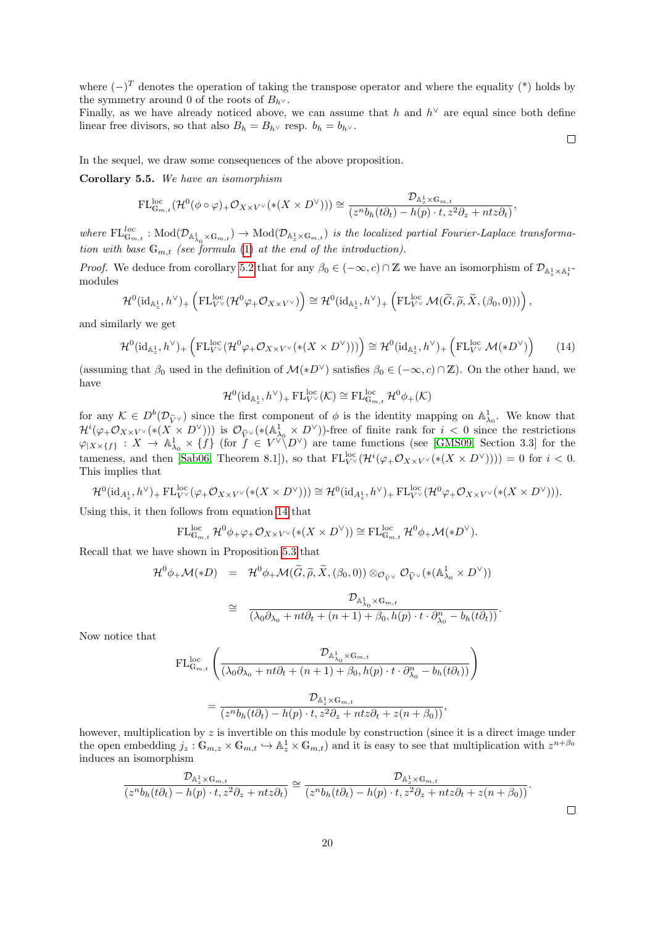where  $(-)^T$  denotes the operation of taking the transpose operator and where the equality (\*) holds by the symmetry around 0 of the roots of  $B_h$ ∨.

Finally, as we have already noticed above, we can assume that h and  $h^{\vee}$  are equal since both define linear free divisors, so that also  $B_h = B_{h}$  resp.  $b_h = b_{h}$ .

 $\Box$ 

In the sequel, we draw some consequences of the above proposition.

<span id="page-19-1"></span>Corollary 5.5. We have an isomorphism

$$
\mathrm{FL}_{\mathbb{G}_{m,t}}^{\mathrm{loc}}(\mathcal{H}^{0}(\phi\circ\varphi)_{+}\mathcal{O}_{X\times V^{\vee}}(*(X\times D^{\vee})))\cong\frac{\mathcal{D}_{\mathbb{A}_{z}^1\times\mathbb{G}_{m,t}}}{(z^{n}b_{h}(t\partial_{t})-h(p)\cdot t,z^{2}\partial_{z}+ntz\partial_{t})},
$$

where  $\mathrm{FL}_{\mathbb{G}_{m,t}}^{loc} : \mathrm{Mod}(\mathcal{D}_{\mathbb{A}^1_{\lambda_0} \times \mathbb{G}_{m,t}}) \to \mathrm{Mod}(\mathcal{D}_{\mathbb{A}^1_{\lambda} \times \mathbb{G}_{m,t}})$  is the localized partial Fourier-Laplace transformation with base  $\mathbb{G}_{m,t}$  (see formula [\(1\)](#page-2-0) at the end of the introduction).

Proof. We deduce from corollary [5.2](#page-14-0) that for any  $\beta_0 \in (-\infty, c) \cap \mathbb{Z}$  we have an isomorphism of  $\mathcal{D}_{\mathbb{A}^1_z \times \mathbb{A}^1_t}$ modules

$$
\mathcal{H}^0(\mathrm{id}_{\mathbb{A}_z^1}, h^\vee)_+\left(\mathrm{FL}^{\mathrm{loc}}_{V^\vee}(\mathcal{H}^0\varphi_+\mathcal{O}_{X\times V^\vee})\right)\cong \mathcal{H}^0(\mathrm{id}_{\mathbb{A}_z^1}, h^\vee)_+\left(\mathrm{FL}^{\mathrm{loc}}_{V^\vee}\mathcal{M}(\widetilde{G},\widetilde{\rho},\widetilde{X},(\beta_0,0)))\right),
$$

and similarly we get

<span id="page-19-0"></span>
$$
\mathcal{H}^{0}(\mathrm{id}_{\mathbb{A}_{z}^{1}}, h^{\vee})_{+}\left(\mathrm{FL}_{V^{\vee}}^{\mathrm{loc}}(\mathcal{H}^{0}\varphi_{+}\mathcal{O}_{X\times V^{\vee}}(*(X\times D^{\vee})))\right)\cong \mathcal{H}^{0}(\mathrm{id}_{\mathbb{A}_{z}^{1}}, h^{\vee})_{+}\left(\mathrm{FL}_{V^{\vee}}^{\mathrm{loc}}\mathcal{M}(*D^{\vee})\right) \tag{14}
$$

(assuming that  $\beta_0$  used in the definition of  $\mathcal{M}(*D^{\vee})$  satisfies  $\beta_0 \in (-\infty, c) \cap \mathbb{Z}$ ). On the other hand, we have

$$
\mathcal{H}^0(\mathrm{id}_{\mathbb{A}^1_z},h^\vee)_+\mathop{\mathrm{FL}}\nolimits^{\mathrm{loc}}_{V^\vee}(\mathcal{K})\cong\mathop{\mathrm{FL}}\nolimits^{\mathrm{loc}}_{\mathbb{G}_{m,t}}\mathcal{H}^0\phi_+(\mathcal{K})
$$

for any  $\mathcal{K} \in D^b(\mathcal{D}_{\widetilde{V}^\vee})$  since the first component of  $\phi$  is the identity mapping on  $\mathbb{A}^1_{\lambda_0}$ . We know that  $\mathcal{H}^{i}(\varphi_{+}\mathcal{O}_{X\times V}\vee(*(X\times D^{\vee})))$  is  $\mathcal{O}_{\widetilde{V}}\vee(*({\mathbb{A}}_{\lambda_{0}}^{1}\times D^{\vee}))$ -free of finite rank for  $i < 0$  since the restrictions  $\varphi_{X\times\{f\}} : X \to \mathbb{A}^1_{\lambda_0} \times \{f\}$  (for  $f \in V^{\vee} \backslash D^{\vee}$ ) are tame functions (see [\[GMS09,](#page-22-14) Section 3.3] for the tameness, and then [\[Sab06,](#page-23-9) Theorem 8.1]), so that  $FL_{VV}^{loc}(\mathcal{H}^{i}(\varphi_{+}\mathcal{O}_{X\times V^{\vee}}(*(X\times D^{\vee}))))=0$  for  $i<0$ . This implies that

$$
\mathcal{H}^0(\mathrm{id}_{A_z^1}, h^\vee)_+ \mathrm{FL}_{V^\vee}^{\mathrm{loc}}(\varphi_+\mathcal{O}_{X\times V^\vee}(*(X\times D^\vee))) \cong \mathcal{H}^0(\mathrm{id}_{A_z^1}, h^\vee)_+ \mathrm{FL}_{V^\vee}^{\mathrm{loc}}(\mathcal{H}^0\varphi_+\mathcal{O}_{X\times V^\vee}(*(X\times D^\vee))).
$$

Using this, it then follows from equation [14](#page-19-0) that

$$
\mathrm{FL}_{\mathbb{G}_{m,t}}^{\mathrm{loc}}\,\mathcal{H}^0\phi_+\varphi_+\mathcal{O}_{X\times V^\vee}(*(X\times D^\vee))\cong\mathrm{FL}_{\mathbb{G}_{m,t}}^{\mathrm{loc}}\,\mathcal{H}^0\phi_+\mathcal{M}(*D^\vee).
$$

Recall that we have shown in Proposition [5.3](#page-15-2) that

$$
\mathcal{H}^{0}\phi_{+}\mathcal{M}(*D) = \mathcal{H}^{0}\phi_{+}\mathcal{M}(\widetilde{G},\widetilde{\rho},\widetilde{X},(\beta_{0},0)) \otimes_{\mathcal{O}_{\widetilde{V}}\vee} \mathcal{O}_{\widetilde{V}^{\vee}}(*({\mathbb A}_{\lambda_{0}}^{1} \times D^{\vee}))
$$
  

$$
\cong \frac{\mathcal{D}_{\mathbb{A}_{\lambda_{0}}^{1} \times \mathbb{G}_{m,t}}}{(\lambda_{0}\partial_{\lambda_{0}} + nt\partial_{t} + (n+1) + \beta_{0},h(p) \cdot t \cdot \partial_{\lambda_{0}}^{n} - b_{h}(t\partial_{t}))}.
$$

Now notice that

$$
\begin{split} \mathrm{FL}_{\mathbb{G}_{m,t}}^{\mathrm{loc}}\left(\frac{\mathcal{D}_{{\mathbb A}^1_{\lambda_0}\times\mathbb{G}_{m,t}}}{(\lambda_0\partial_{\lambda_0}+nt\partial_t+(n+1)+\beta_0,h(p)\cdot t\cdot\partial_{\lambda_0}^n-b_h(t\partial_t))}\right)\\=\frac{\mathcal{D}_{{\mathbb A}^1_z\times\mathbb{G}_{m,t}}}{(z^nb_h(t\partial_t)-h(p)\cdot t,z^2\partial_z+ntz\partial_t+z(n+\beta_0))}, \end{split}
$$

however, multiplication by  $z$  is invertible on this module by construction (since it is a direct image under the open embedding  $j_z : \mathbb{G}_{m,z} \times \mathbb{G}_{m,t} \hookrightarrow \mathbb{A}_z^1 \times \mathbb{G}_{m,t}$  and it is easy to see that multiplication with  $z^{n+\beta_0}$ induces an isomorphism

$$
\frac{\mathcal{D}_{\mathbb{A}_z^1 \times \mathbb{G}_{m,t}}}{(z^n b_h(t\partial_t) - h(p) \cdot t, z^2 \partial_z + ntz\partial_t)} \cong \frac{\mathcal{D}_{\mathbb{A}_z^1 \times \mathbb{G}_{m,t}}}{(z^n b_h(t\partial_t) - h(p) \cdot t, z^2 \partial_z + ntz\partial_t + z(n + \beta_0))}.
$$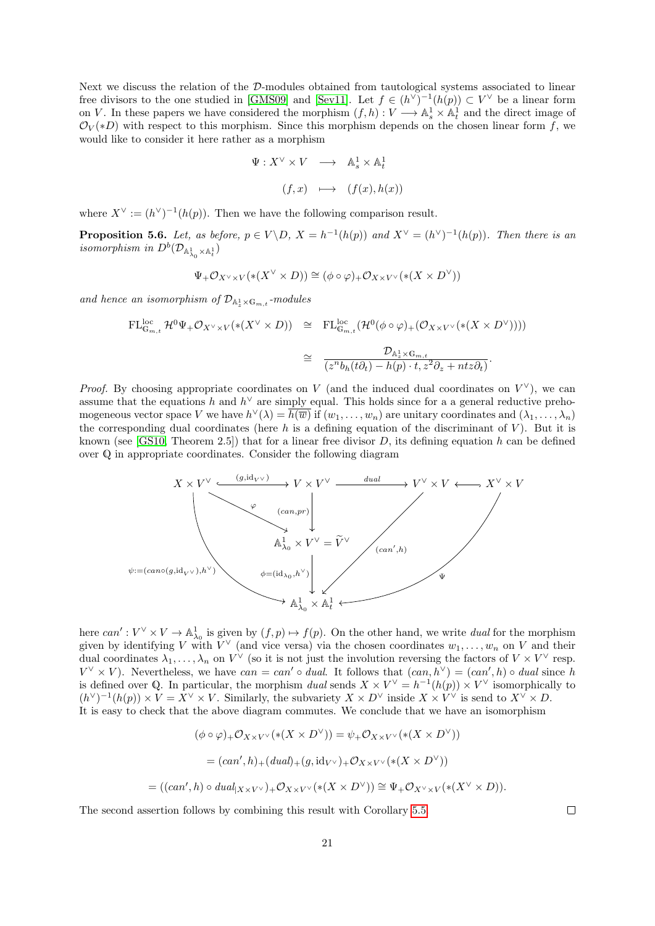Next we discuss the relation of the D-modules obtained from tautological systems associated to linear free divisors to the one studied in [\[GMS09\]](#page-22-14) and [\[Sev11\]](#page-23-4). Let  $f \in (h^{\vee})^{-1}(h(p)) \subset V^{\vee}$  be a linear form on V. In these papers we have considered the morphism  $(f,h): V \longrightarrow \mathbb{A}^1_s \times \mathbb{A}^1_t$  and the direct image of  $\mathcal{O}_V(*D)$  with respect to this morphism. Since this morphism depends on the chosen linear form f, we would like to consider it here rather as a morphism

$$
\Psi: X^{\vee} \times V \longrightarrow \mathbb{A}^{1}_{s} \times \mathbb{A}^{1}_{t}
$$

$$
(f, x) \longmapsto (f(x), h(x))
$$

where  $X^{\vee} := (h^{\vee})^{-1}(h(p))$ . Then we have the following comparison result.

<span id="page-20-0"></span>**Proposition 5.6.** Let, as before,  $p \in V \backslash D$ ,  $X = h^{-1}(h(p))$  and  $X^{\vee} = (h^{\vee})^{-1}(h(p))$ . Then there is an isomorphism in  $D^b(\mathcal{D}_{{\mathbb A}^1_{\lambda_0}\times {\mathbb A}^1_t})$ 

$$
\Psi_+ \mathcal{O}_{X^\vee \times V}(* (X^\vee \times D)) \cong (\phi \circ \varphi)_+ \mathcal{O}_{X \times V^\vee}(* (X \times D^\vee))
$$

and hence an isomorphism of  $\mathcal{D}_{\mathbb{A}_{z}^1\times\mathbb{G}_{m,t}}$ -modules

$$
\begin{array}{rcl}\n\mathrm{FL}_{\mathbb{G}_{m,t}}^{loc} \mathcal{H}^{0}\Psi_{+}\mathcal{O}_{X^{\vee}\times V}(\ast (X^{\vee}\times D)) & \cong & \mathrm{FL}_{\mathbb{G}_{m,t}}^{loc}(\mathcal{H}^{0}(\phi\circ\varphi)_{+}(\mathcal{O}_{X\times V^{\vee}}(\ast (X\times D^{\vee}))))\\ \n\cong & \frac{\mathcal{D}_{\mathbb{A}_{z}^{\perp}\times\mathbb{G}_{m,t}}}{(z^{n}b_{h}(t\partial_{t})-h(p)\cdot t,z^{2}\partial_{z}+ntz\partial_{t})}.\n\end{array}
$$

*Proof.* By choosing appropriate coordinates on V (and the induced dual coordinates on  $V^{\vee}$ ), we can assume that the equations h and  $h^{\vee}$  are simply equal. This holds since for a a general reductive prehomogeneous vector space V we have  $h^{\vee}(\lambda) = \overline{h(\overline{w})}$  if  $(w_1, \ldots, w_n)$  are unitary coordinates and  $(\lambda_1, \ldots, \lambda_n)$ the corresponding dual coordinates (here  $h$  is a defining equation of the discriminant of  $V$ ). But it is known (see [\[GS10,](#page-22-8) Theorem 2.5]) that for a linear free divisor D, its defining equation h can be defined over Q in appropriate coordinates. Consider the following diagram



here  $can': V^{\vee} \times V \to \mathbb{A}^1_{\lambda_0}$  is given by  $(f, p) \mapsto f(p)$ . On the other hand, we write dual for the morphism given by identifying V with  $V^{\vee}$  (and vice versa) via the chosen coordinates  $w_1, \ldots, w_n$  on V and their dual coordinates  $\lambda_1,\ldots,\lambda_n$  on  $V^\vee$  (so it is not just the involution reversing the factors of  $V\times V^\vee$  resp.  $V^{\vee} \times V$ ). Nevertheless, we have  $can = can' \circ dual$ . It follows that  $(can, h^{\vee}) = (can', h) \circ dual$  since h is defined over Q. In particular, the morphism dual sends  $X \times V^{\vee} = h^{-1}(h(p)) \times V^{\vee}$  isomorphically to  $(h^{\vee})^{-1}(h(p)) \times V = X^{\vee} \times V$ . Similarly, the subvariety  $X \times D^{\vee}$  isside  $X \times V^{\vee}$  is send to  $X^{\vee} \times D$ . It is easy to check that the above diagram commutes. We conclude that we have an isomorphism

$$
(\phi \circ \varphi)_+ \mathcal{O}_{X \times V^\vee}(* (X \times D^\vee)) = \psi_+ \mathcal{O}_{X \times V^\vee}(* (X \times D^\vee))
$$
  
= 
$$
(can', h)_+ (dual)_+ (g, id_{V^\vee})_+ \mathcal{O}_{X \times V^\vee}(* (X \times D^\vee))
$$
  
= 
$$
((can', h) \circ dual_{|X \times V^\vee})_+ \mathcal{O}_{X \times V^\vee}(* (X \times D^\vee)) \cong \Psi_+ \mathcal{O}_{X^\vee \times V}(* (X^\vee \times D)).
$$

The second assertion follows by combining this result with Corollary [5.5.](#page-19-1)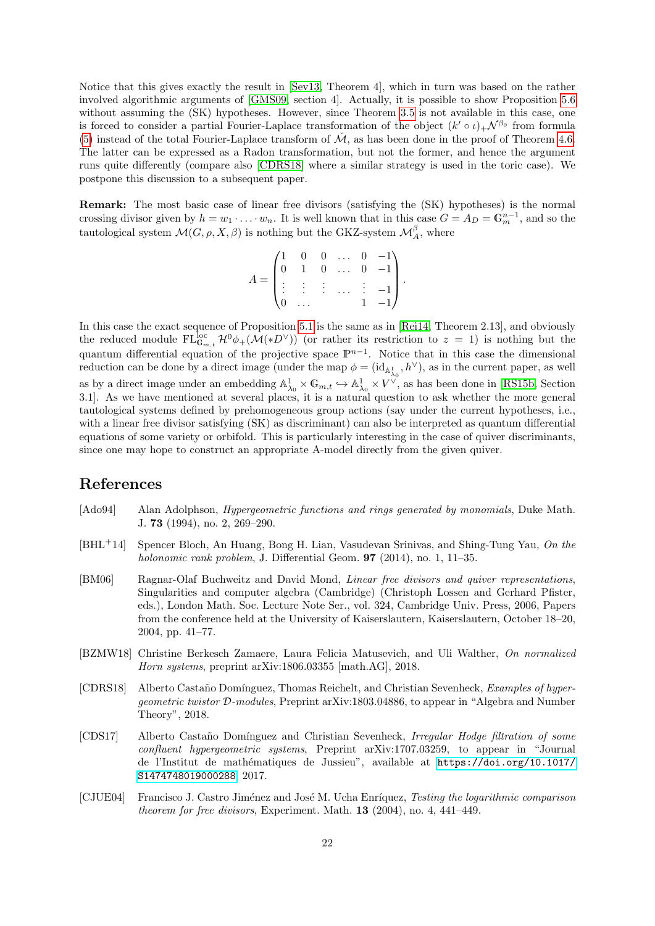Notice that this gives exactly the result in [\[Sev13,](#page-23-5) Theorem 4], which in turn was based on the rather involved algorithmic arguments of [\[GMS09,](#page-22-14) section 4]. Actually, it is possible to show Proposition [5.6](#page-20-0) without assuming the  $(SK)$  hypotheses. However, since Theorem [3.5](#page-7-1) is not available in this case, one is forced to consider a partial Fourier-Laplace transformation of the object  $(k' \circ \iota)_+ \mathcal{N}^{\beta_0}$  from formula [\(5\)](#page-11-3) instead of the total Fourier-Laplace transform of  $\tilde{\mathcal{M}}$ , as has been done in the proof of Theorem [4.6.](#page-11-0) The latter can be expressed as a Radon transformation, but not the former, and hence the argument runs quite differently (compare also [\[CDRS18\]](#page-21-6) where a similar strategy is used in the toric case). We postpone this discussion to a subsequent paper.

Remark: The most basic case of linear free divisors (satisfying the (SK) hypotheses) is the normal crossing divisor given by  $h = w_1 \cdot \ldots \cdot w_n$ . It is well known that in this case  $G = A_D = \mathbb{G}_m^{n-1}$ , and so the tautological system  $\mathcal{M}(G,\rho,X,\beta)$  is nothing but the GKZ-system  $\mathcal{M}_{A}^{\beta}$ , where

$$
A = \begin{pmatrix} 1 & 0 & 0 & \dots & 0 & -1 \\ 0 & 1 & 0 & \dots & 0 & -1 \\ \vdots & \vdots & \vdots & \dots & \vdots & -1 \\ 0 & \dots & 1 & -1 \end{pmatrix}.
$$

In this case the exact sequence of Proposition [5.1](#page-13-1) is the same as in [\[Rei14,](#page-22-9) Theorem 2.13], and obviously the reduced module  $FL_{\mathbb{G}_{m,t}}^{\text{loc}}\mathcal{H}^0\phi_{+}(\mathcal{M}(*D^{\vee}))$  (or rather its restriction to  $z=1$ ) is nothing but the quantum differential equation of the projective space  $\mathbb{P}^{n-1}$ . Notice that in this case the dimensional reduction can be done by a direct image (under the map  $\phi = (id_{\mathbb{A}_{\lambda_0}^1}, h^{\vee}),$  as in the current paper, as well as by a direct image under an embedding  $\mathbb{A}^1_{\lambda_0} \times \mathbb{G}_{m,t} \hookrightarrow \mathbb{A}^1_{\lambda_0} \times V^{\vee}$ , as has been done in [\[RS15b,](#page-23-0) Section 3.1]. As we have mentioned at several places, it is a natural question to ask whether the more general tautological systems defined by prehomogeneous group actions (say under the current hypotheses, i.e., with a linear free divisor satisfying (SK) as discriminant) can also be interpreted as quantum differential equations of some variety or orbifold. This is particularly interesting in the case of quiver discriminants, since one may hope to construct an appropriate A-model directly from the given quiver.

## References

- <span id="page-21-1"></span>[Ado94] Alan Adolphson, *Hypergeometric functions and rings generated by monomials*, Duke Math. J. 73 (1994), no. 2, 269–290.
- <span id="page-21-0"></span>[BHL+14] Spencer Bloch, An Huang, Bong H. Lian, Vasudevan Srinivas, and Shing-Tung Yau, On the holonomic rank problem, J. Differential Geom. **97** (2014), no. 1, 11–35.
- <span id="page-21-2"></span>[BM06] Ragnar-Olaf Buchweitz and David Mond, Linear free divisors and quiver representations, Singularities and computer algebra (Cambridge) (Christoph Lossen and Gerhard Pfister, eds.), London Math. Soc. Lecture Note Ser., vol. 324, Cambridge Univ. Press, 2006, Papers from the conference held at the University of Kaiserslautern, Kaiserslautern, October 18–20, 2004, pp. 41–77.
- <span id="page-21-3"></span>[BZMW18] Christine Berkesch Zamaere, Laura Felicia Matusevich, and Uli Walther, On normalized Horn systems, preprint arXiv:1806.03355 [math.AG], 2018.
- <span id="page-21-6"></span>[CDRS18] Alberto Castaño Domínguez, Thomas Reichelt, and Christian Sevenheck, *Examples of hyper*geometric twistor D-modules, Preprint arXiv:1803.04886, to appear in "Algebra and Number Theory", 2018.
- <span id="page-21-5"></span>[CDS17] Alberto Castaño Domínguez and Christian Sevenheck, Irregular Hodge filtration of some confluent hypergeometric systems, Preprint arXiv:1707.03259, to appear in "Journal de l'Institut de math´ematiques de Jussieu", available at [https://doi.org/10.1017/](https://doi.org/10.1017/S1474748019000288) [S1474748019000288](https://doi.org/10.1017/S1474748019000288), 2017.
- <span id="page-21-4"></span>[CJUE04] Francisco J. Castro Jiménez and José M. Ucha Enríquez, Testing the logarithmic comparison theorem for free divisors, Experiment. Math. 13 (2004), no. 4, 441–449.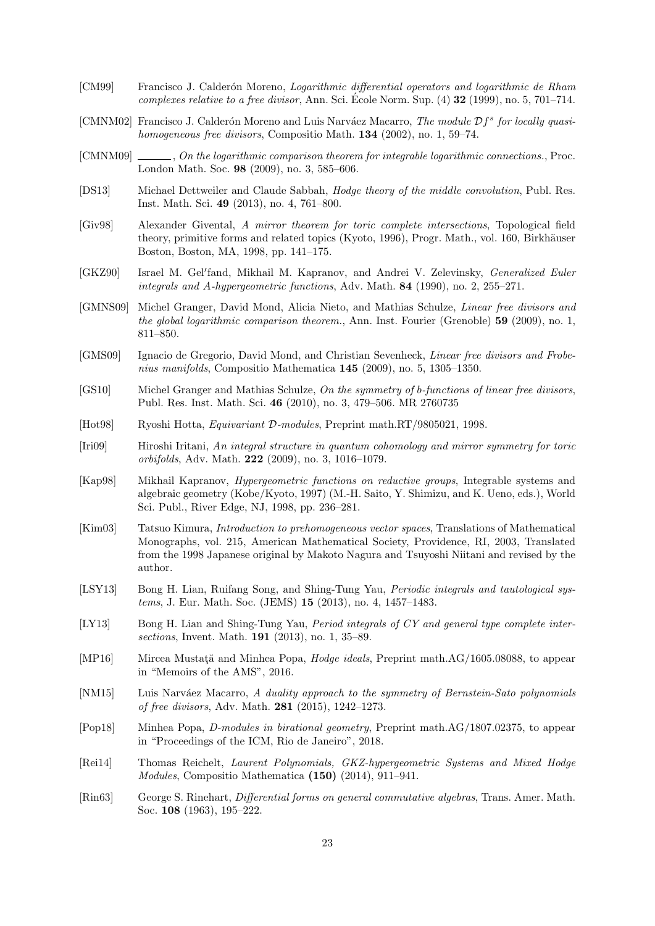- <span id="page-22-10"></span>[CM99] Francisco J. Calderón Moreno, *Logarithmic differential operators and logarithmic de Rham* complexes relative to a free divisor, Ann. Sci. École Norm. Sup.  $(4)$  32 (1999), no. 5, 701–714.
- <span id="page-22-11"></span>[CMNM02] Francisco J. Calderón Moreno and Luis Narváez Macarro, The module  $Df^s$  for locally quasihomogeneous free divisors, Compositio Math.  $134$  (2002), no. 1, 59–74.
- <span id="page-22-12"></span>[CMNM09] , On the logarithmic comparison theorem for integrable logarithmic connections., Proc. London Math. Soc. 98 (2009), no. 3, 585–606.
- <span id="page-22-17"></span>[DS13] Michael Dettweiler and Claude Sabbah, Hodge theory of the middle convolution, Publ. Res. Inst. Math. Sci. 49 (2013), no. 4, 761–800.
- <span id="page-22-5"></span>[Giv98] Alexander Givental, A mirror theorem for toric complete intersections, Topological field theory, primitive forms and related topics (Kyoto, 1996), Progr. Math., vol. 160, Birkhäuser Boston, Boston, MA, 1998, pp. 141–175.
- <span id="page-22-4"></span>[GKZ90] Israel M. Gel'fand, Mikhail M. Kapranov, and Andrei V. Zelevinsky, Generalized Euler integrals and A-hypergeometric functions, Adv. Math. 84 (1990), no. 2, 255–271.
- <span id="page-22-7"></span>[GMNS09] Michel Granger, David Mond, Alicia Nieto, and Mathias Schulze, Linear free divisors and the global logarithmic comparison theorem., Ann. Inst. Fourier (Grenoble) 59 (2009), no. 1, 811–850.
- <span id="page-22-14"></span>[GMS09] Ignacio de Gregorio, David Mond, and Christian Sevenheck, Linear free divisors and Frobenius manifolds, Compositio Mathematica 145 (2009), no. 5, 1305–1350.
- <span id="page-22-8"></span>[GS10] Michel Granger and Mathias Schulze, On the symmetry of b-functions of linear free divisors, Publ. Res. Inst. Math. Sci. 46 (2010), no. 3, 479–506. MR 2760735
- <span id="page-22-0"></span>[Hot98] Ryoshi Hotta, Equivariant D-modules, Preprint math.RT/9805021, 1998.
- <span id="page-22-6"></span>[Iri09] Hiroshi Iritani, An integral structure in quantum cohomology and mirror symmetry for toric orbifolds, Adv. Math. 222 (2009), no. 3, 1016–1079.
- <span id="page-22-1"></span>[Kap98] Mikhail Kapranov, Hypergeometric functions on reductive groups, Integrable systems and algebraic geometry (Kobe/Kyoto, 1997) (M.-H. Saito, Y. Shimizu, and K. Ueno, eds.), World Sci. Publ., River Edge, NJ, 1998, pp. 236–281.
- <span id="page-22-16"></span>[Kim03] Tatsuo Kimura, Introduction to prehomogeneous vector spaces, Translations of Mathematical Monographs, vol. 215, American Mathematical Society, Providence, RI, 2003, Translated from the 1998 Japanese original by Makoto Nagura and Tsuyoshi Niitani and revised by the author.
- <span id="page-22-2"></span>[LSY13] Bong H. Lian, Ruifang Song, and Shing-Tung Yau, *Periodic integrals and tautological sys*tems, J. Eur. Math. Soc. (JEMS) 15 (2013), no. 4, 1457–1483.
- <span id="page-22-3"></span>[LY13] Bong H. Lian and Shing-Tung Yau, *Period integrals of CY and general type complete inter*sections, Invent. Math. 191 (2013), no. 1, 35–89.
- <span id="page-22-18"></span>[MP16] Mircea Mustata and Minhea Popa, *Hodge ideals*, Preprint math.AG/1605.08088, to appear in "Memoirs of the AMS", 2016.
- <span id="page-22-13"></span>[NM15] Luis Narváez Macarro, A duality approach to the symmetry of Bernstein-Sato polynomials of free divisors, Adv. Math. 281 (2015), 1242–1273.
- <span id="page-22-19"></span>[Pop18] Minhea Popa, D-modules in birational geometry, Preprint math.AG/1807.02375, to appear in "Proceedings of the ICM, Rio de Janeiro", 2018.
- <span id="page-22-9"></span>[Rei14] Thomas Reichelt, Laurent Polynomials, GKZ-hypergeometric Systems and Mixed Hodge Modules, Compositio Mathematica (150) (2014), 911–941.
- <span id="page-22-15"></span>[Rin63] George S. Rinehart, Differential forms on general commutative algebras, Trans. Amer. Math. Soc. 108 (1963), 195–222.